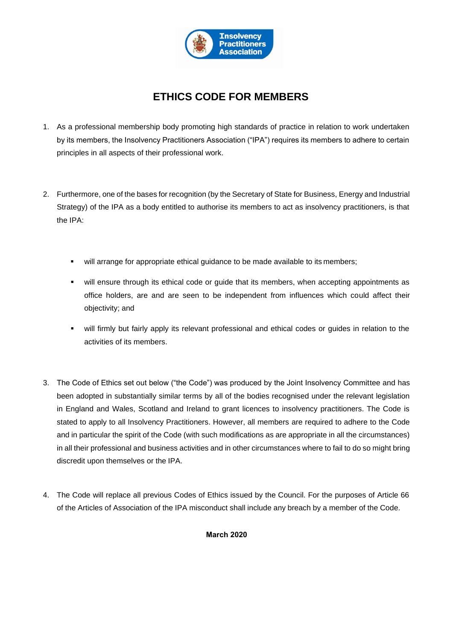

# **ETHICS CODE FOR MEMBERS**

- 1. As a professional membership body promoting high standards of practice in relation to work undertaken by its members, the Insolvency Practitioners Association ("IPA") requires its members to adhere to certain principles in all aspects of their professional work.
- 2. Furthermore, one of the bases for recognition (by the Secretary of State for Business, Energy and Industrial Strategy) of the IPA as a body entitled to authorise its members to act as insolvency practitioners, is that the IPA:
	- will arrange for appropriate ethical guidance to be made available to its members;
	- will ensure through its ethical code or guide that its members, when accepting appointments as office holders, are and are seen to be independent from influences which could affect their objectivity; and
	- will firmly but fairly apply its relevant professional and ethical codes or guides in relation to the activities of its members.
- 3. The Code of Ethics set out below ("the Code") was produced by the Joint Insolvency Committee and has been adopted in substantially similar terms by all of the bodies recognised under the relevant legislation in England and Wales, Scotland and Ireland to grant licences to insolvency practitioners. The Code is stated to apply to all Insolvency Practitioners. However, all members are required to adhere to the Code and in particular the spirit of the Code (with such modifications as are appropriate in all the circumstances) in all their professional and business activities and in other circumstances where to fail to do so might bring discredit upon themselves or the IPA.
- 4. The Code will replace all previous Codes of Ethics issued by the Council. For the purposes of Article 66 of the Articles of Association of the IPA misconduct shall include any breach by a member of the Code.

**March 2020**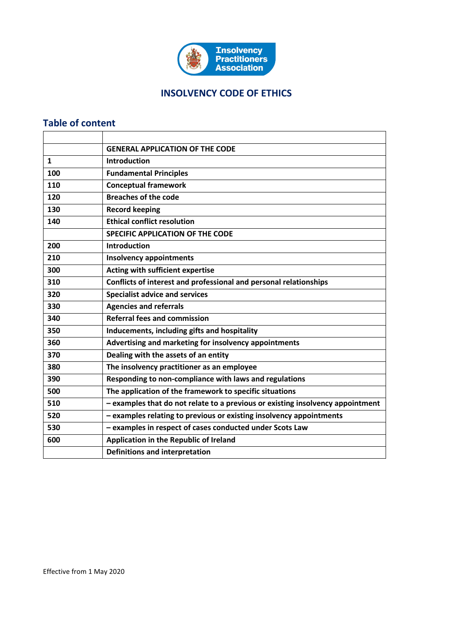

## **INSOLVENCY CODE OF ETHICS**

## **Table of content**

|              | <b>GENERAL APPLICATION OF THE CODE</b>                                         |
|--------------|--------------------------------------------------------------------------------|
| $\mathbf{1}$ | <b>Introduction</b>                                                            |
| 100          | <b>Fundamental Principles</b>                                                  |
| 110          | <b>Conceptual framework</b>                                                    |
| 120          | <b>Breaches of the code</b>                                                    |
| 130          | <b>Record keeping</b>                                                          |
| 140          | <b>Ethical conflict resolution</b>                                             |
|              | <b>SPECIFIC APPLICATION OF THE CODE</b>                                        |
| 200          | <b>Introduction</b>                                                            |
| 210          | <b>Insolvency appointments</b>                                                 |
| 300          | Acting with sufficient expertise                                               |
| 310          | Conflicts of interest and professional and personal relationships              |
| 320          | <b>Specialist advice and services</b>                                          |
| 330          | <b>Agencies and referrals</b>                                                  |
| 340          | <b>Referral fees and commission</b>                                            |
| 350          | Inducements, including gifts and hospitality                                   |
| 360          | Advertising and marketing for insolvency appointments                          |
| 370          | Dealing with the assets of an entity                                           |
| 380          | The insolvency practitioner as an employee                                     |
| 390          | Responding to non-compliance with laws and regulations                         |
| 500          | The application of the framework to specific situations                        |
| 510          | - examples that do not relate to a previous or existing insolvency appointment |
| 520          | - examples relating to previous or existing insolvency appointments            |
| 530          | - examples in respect of cases conducted under Scots Law                       |
| 600          | Application in the Republic of Ireland                                         |
|              | <b>Definitions and interpretation</b>                                          |

Effective from 1 May 2020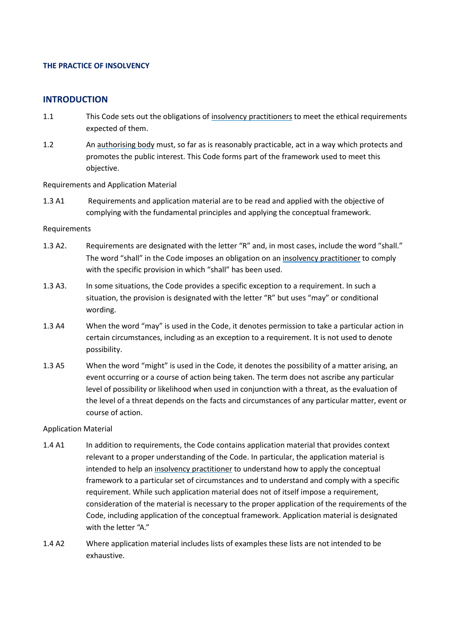#### **THE PRACTICE OF INSOLVENCY**

#### **INTRODUCTION**

- 1.1 This Code sets out the obligations of [insolvency practitioners](#page-69-1) to meet the ethical requirements expected of them.
- 1.2 An [authorising body](#page-69-2) must, so far as is reasonably practicable, act in a way which protects and promotes the public interest. This Code forms part of the framework used to meet this objective.

Requirements and Application Material

1.3 A1 Requirements and application material are to be read and applied with the objective of complying with the fundamental principles and applying the conceptual framework.

#### Requirements

- 1.3 A2. Requirements are designated with the letter "R" and, in most cases, include the word "shall." The word "shall" in the Code imposes an obligation on an [insolvency practitioner](#page-69-1) to comply with the specific provision in which "shall" has been used.
- 1.3 A3. In some situations, the Code provides a specific exception to a requirement. In such a situation, the provision is designated with the letter "R" but uses "may" or conditional wording.
- 1.3 A4 When the word "may" is used in the Code, it denotes permission to take a particular action in certain circumstances, including as an exception to a requirement. It is not used to denote possibility.
- 1.3 A5 When the word "might" is used in the Code, it denotes the possibility of a matter arising, an event occurring or a course of action being taken. The term does not ascribe any particular level of possibility or likelihood when used in conjunction with a threat, as the evaluation of the level of a threat depends on the facts and circumstances of any particular matter, event or course of action.

#### Application Material

- 1.4 A1 In addition to requirements, the Code contains application material that provides context relevant to a proper understanding of the Code. In particular, the application material is intended to help an [insolvency practitioner](#page-69-1) to understand how to apply the conceptual framework to a particular set of circumstances and to understand and comply with a specific requirement. While such application material does not of itself impose a requirement, consideration of the material is necessary to the proper application of the requirements of the Code, including application of the conceptual framework. Application material is designated with the letter "A."
- 1.4 A2 Where application material includes lists of examples these lists are not intended to be exhaustive.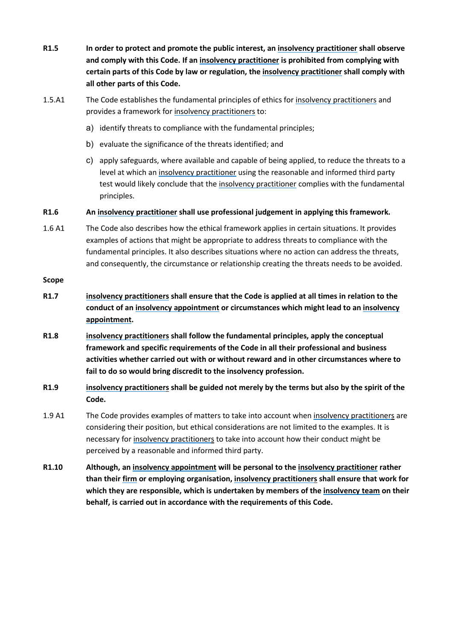- **R1.5 In order to protect and promote the public interest, an [insolvency practitioner](#page-69-1) shall observe and comply with this Code. If a[n insolvency practitioner](#page-69-1) is prohibited from complying with certain parts of this Code by law or regulation, the [insolvency practitioner](#page-69-1) shall comply with all other parts of this Code.**
- 1.5.A1 The Code establishes the fundamental principles of ethics for [insolvency practitioners](#page-69-1) and provides a framework for [insolvency practitioners](#page-69-1) to:
	- a) identify threats to compliance with the fundamental principles;
	- b) evaluate the significance of the threats identified; and
	- c) apply safeguards, where available and capable of being applied, to reduce the threats to a level at which an [insolvency practitioner](#page-69-1) using the reasonable and informed third party test would likely conclude that the [insolvency practitioner](#page-69-1) complies with the fundamental principles.

**R1.6 An [insolvency practitioner](#page-69-1) shall use professional judgement in applying this framework.**

1.6 A1 The Code also describes how the ethical framework applies in certain situations. It provides examples of actions that might be appropriate to address threats to compliance with the fundamental principles. It also describes situations where no action can address the threats, and consequently, the circumstance or relationship creating the threats needs to be avoided.

#### **Scope**

- **R1.7 [insolvency practitioners](#page-69-1) shall ensure that the Code is applied at all times in relation to the conduct of an [insolvency appointment](#page-69-0) or circumstances which might lead to a[n insolvency](#page-69-0)  [appointment.](#page-69-0)**
- **R1.8 [insolvency practitioners](#page-69-1) shall follow the fundamental principles, apply the conceptual framework and specific requirements of the Code in all their professional and business activities whether carried out with or without reward and in other circumstances where to fail to do so would bring discredit to the insolvency profession.**
- **R1.9 [insolvency practitioners](#page-69-1) shall be guided not merely by the terms but also by the spirit of the Code.**
- 1.9 A1 The Code provides examples of matters to take into account whe[n insolvency practitioners](#page-69-1) are considering their position, but ethical considerations are not limited to the examples. It is necessary for [insolvency practitioners](#page-69-1) to take into account how their conduct might be perceived by a reasonable and informed third party.
- **R1.10 Although, a[n insolvency appointment](#page-69-0) will be personal to the [insolvency practitioner](#page-69-1) rather than their [firm](#page-69-3) or employing organisation, [insolvency practitioners](#page-69-1) shall ensure that work for which they are responsible, which is undertaken by members of the [insolvency team](#page-69-4) on their behalf, is carried out in accordance with the requirements of this Code.**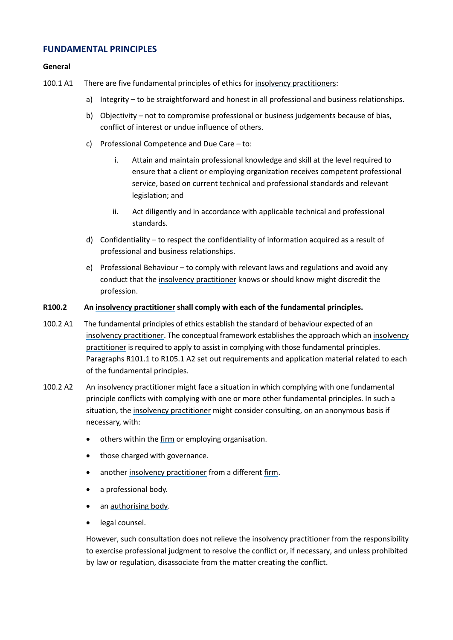### **FUNDAMENTAL PRINCIPLES**

#### **General**

- 100.1 A1 There are five fundamental principles of ethics fo[r insolvency practitioners](#page-69-1):
	- a) Integrity to be straightforward and honest in all professional and business relationships.
	- b) Objectivity not to compromise professional or business judgements because of bias, conflict of interest or undue influence of others.
	- c) Professional Competence and Due Care to:
		- i. Attain and maintain professional knowledge and skill at the level required to ensure that a client or employing organization receives competent professional service, based on current technical and professional standards and relevant legislation; and
		- ii. Act diligently and in accordance with applicable technical and professional standards.
	- d) Confidentiality to respect the confidentiality of information acquired as a result of professional and business relationships.
	- e) Professional Behaviour to comply with relevant laws and regulations and avoid any conduct that the [insolvency practitioner](#page-69-1) knows or should know might discredit the profession.

#### **R100.2 An [insolvency practitioner](#page-69-1) shall comply with each of the fundamental principles.**

- 100.2 A1 The fundamental principles of ethics establish the standard of behaviour expected of an [insolvency practitioner.](#page-69-1) The conceptual framework establishes the approach which an [insolvency](#page-69-1)  [practitioner](#page-69-1) is required to apply to assist in complying with those fundamental principles. Paragraphs R101.1 to R105.1 A2 set out requirements and application material related to each of the fundamental principles.
- 100.2 A2 An [insolvency practitioner](#page-69-1) might face a situation in which complying with one fundamental principle conflicts with complying with one or more other fundamental principles. In such a situation, the [insolvency practitioner](#page-69-1) might consider consulting, on an anonymous basis if necessary, with:
	- others within the [firm](#page-69-3) or employing organisation.
	- those charged with governance.
	- another [insolvency practitioner](#page-69-1) from a different [firm.](#page-69-3)
	- a professional body.
	- an [authorising body.](#page-69-2)
	- legal counsel.

However, such consultation does not relieve th[e insolvency practitioner](#page-69-1) from the responsibility to exercise professional judgment to resolve the conflict or, if necessary, and unless prohibited by law or regulation, disassociate from the matter creating the conflict.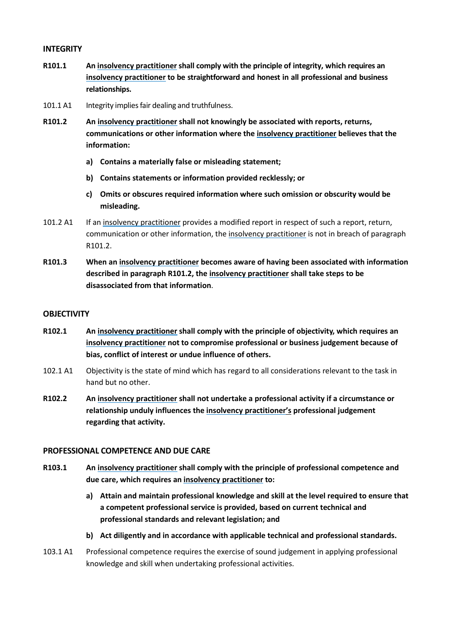#### **INTEGRITY**

- **R101.1 An [insolvency practitioner](#page-69-1) shall comply with the principle of integrity, which requires an [insolvency practitioner](#page-69-1) to be straightforward and honest in all professional and business relationships.**
- 101.1 A1 Integrity implies fair dealing and truthfulness.
- **R101.2 An insolvency [practitioner](#page-69-1) shall not knowingly be associated with reports, returns, communications or other information where the [insolvency practitioner](#page-69-1) believes that the information:**
	- **a) Contains a materially false or misleading statement;**
	- **b) Contains statements or information provided recklessly; or**
	- **c) Omits or obscures required information where such omission or obscurity would be misleading.**
- 101.2 A1 If an [insolvency practitioner](#page-69-1) provides a modified report in respect of such a report, return, communication or other information, th[e insolvency practitioner](#page-69-1) is not in breach of paragraph R101.2.
- **R101.3 When an [insolvency practitioner](#page-69-1) becomes aware of having been associated with information described in paragraph R101.2, the [insolvency practitioner](#page-69-1) shall take steps to be disassociated from that information**.

#### **OBJECTIVITY**

- **R102.1 An [insolvency practitioner](#page-69-1) shall comply with the principle of objectivity, which requires an [insolvency practitioner](#page-69-1) not to compromise professional or business judgement because of bias, conflict of interest or undue influence of others.**
- 102.1 A1 Objectivity is the state of mind which has regard to all considerations relevant to the task in hand but no other.
- **R102.2 An [insolvency practitioner](#page-69-1) shall not undertake a professional activity if a circumstance or relationship unduly influences th[e insolvency practitioner's](#page-69-1) professional judgement regarding that activity.**

#### **PROFESSIONAL COMPETENCE AND DUE CARE**

- **R103.1 An [insolvency practitioner](#page-69-1) shall comply with the principle of professional competence and due care, which requires a[n insolvency practitioner](#page-69-1) to:** 
	- **a) Attain and maintain professional knowledge and skill at the level required to ensure that a competent professional service is provided, based on current technical and professional standards and relevant legislation; and**
	- **b) Act diligently and in accordance with applicable technical and professional standards.**
- 103.1 A1 Professional competence requires the exercise of sound judgement in applying professional knowledge and skill when undertaking professional activities.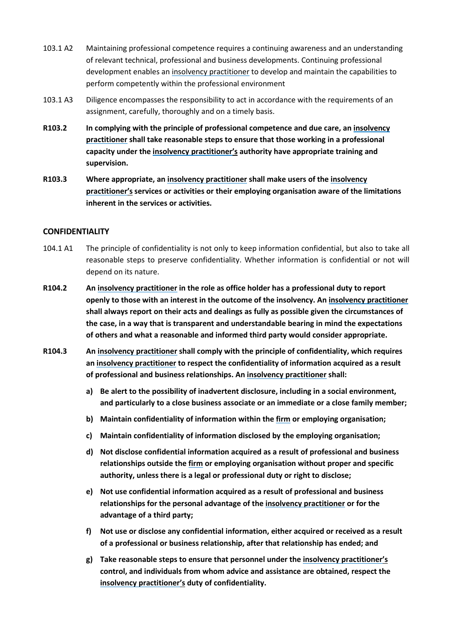- 103.1 A2 Maintaining professional competence requires a continuing awareness and an understanding of relevant technical, professional and business developments. Continuing professional development enables an [insolvency practitioner](#page-69-1) to develop and maintain the capabilities to perform competently within the professional environment
- 103.1 A3 Diligence encompasses the responsibility to act in accordance with the requirements of an assignment, carefully, thoroughly and on a timely basis.
- **R103.2 In complying with the principle of professional competence and due care, an [insolvency](#page-69-1)  [practitioner](#page-69-1) shall take reasonable steps to ensure that those working in a professional capacity under the [insolvency practitioner'](#page-69-1)s authority have appropriate training and supervision.**
- **R103.3 Where appropriate, an [insolvency practitioner](#page-69-1) shall make users of the [insolvency](#page-69-1)  [practitioner'](#page-69-1)sservices or activities or their employing organisation aware of the limitations inherent in the services or activities.**

#### **CONFIDENTIALITY**

- 104.1 A1 The principle of confidentiality is not only to keep information confidential, but also to take all reasonable steps to preserve confidentiality. Whether information is confidential or not will depend on its nature.
- **R104.2 An [insolvency practitioner](#page-69-1) in the role as office holder has a professional duty to report openly to those with an interest in the outcome of the insolvency. An [insolvency practitioner](#page-69-1) shall always report on their acts and dealings as fully as possible given the circumstances of the case, in a way that is transparent and understandable bearing in mind the expectations of others and what a reasonable and informed third party would consider appropriate.**
- **R104.3 An [insolvency practitioner](#page-69-1) shall comply with the principle of confidentiality, which requires an [insolvency practitioner](#page-69-1) to respect the confidentiality of information acquired as a result of professional and business relationships. An [insolvency practitioner](#page-69-1) shall:**
	- **a) Be alert to the possibility of inadvertent disclosure, including in a social environment, and particularly to a close business associate or an immediate or a close family member;**
	- **b) Maintain confidentiality of information within the [firm](#page-69-3) or employing organisation;**
	- **c) Maintain confidentiality of information disclosed by the employing organisation;**
	- **d) Not disclose confidential information acquired as a result of professional and business relationships outside the [firm](#page-69-3) or employing organisation without proper and specific authority, unless there is a legal or professional duty or right to disclose;**
	- **e) Not use confidential information acquired as a result of professional and business relationships for the personal advantage of the [insolvency practitioner](#page-69-1) or for the advantage of a third party;**
	- **f) Not use or disclose any confidential information, either acquired or received as a result of a professional or business relationship, after that relationship has ended; and**
	- **g) Take reasonable steps to ensure that personnel under th[e insolvency practitioner's](#page-69-1) control, and individuals from whom advice and assistance are obtained, respect the [insolvency practitioner'](#page-69-1)s duty of confidentiality.**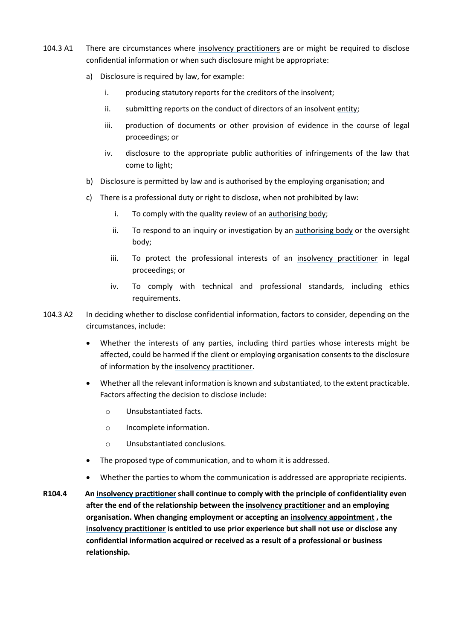- 104.3 A1 There are circumstances where [insolvency practitioners](#page-69-1) are or might be required to disclose confidential information or when such disclosure might be appropriate:
	- a) Disclosure is required by law, for example:
		- i. producing statutory reports for the creditors of the insolvent;
		- ii. submitting reports on the conduct of directors of an insolvent [entity;](#page-69-5)
		- iii. production of documents or other provision of evidence in the course of legal proceedings; or
		- iv. disclosure to the appropriate public authorities of infringements of the law that come to light;
	- b) Disclosure is permitted by law and is authorised by the employing organisation; and
	- c) There is a professional duty or right to disclose, when not prohibited by law:
		- i. To comply with the quality review of an [authorising body;](#page-69-2)
		- ii. To respond to an inquiry or investigation by an [authorising body](#page-69-2) or the oversight body;
		- iii. To protect the professional interests of an [insolvency practitioner](#page-69-1) in legal proceedings; or
		- iv. To comply with technical and professional standards, including ethics requirements.
- 104.3 A2 In deciding whether to disclose confidential information, factors to consider, depending on the circumstances, include:
	- Whether the interests of any parties, including third parties whose interests might be affected, could be harmed if the client or employing organisation consents to the disclosure of information by the [insolvency practitioner.](#page-69-1)
	- Whether all the relevant information is known and substantiated, to the extent practicable. Factors affecting the decision to disclose include:
		- o Unsubstantiated facts.
		- o Incomplete information.
		- o Unsubstantiated conclusions.
	- The proposed type of communication, and to whom it is addressed.
	- Whether the parties to whom the communication is addressed are appropriate recipients.
- **R104.4 An [insolvency practitioner](#page-69-1) shall continue to comply with the principle of confidentiality even after the end of the relationship between the [insolvency practitioner](#page-69-1) and an employing organisation. When changing employment or accepting an [insolvency appointment](#page-69-0) , the [insolvency practitioner](#page-69-1) is entitled to use prior experience but shall not use or disclose any confidential information acquired or received as a result of a professional or business relationship.**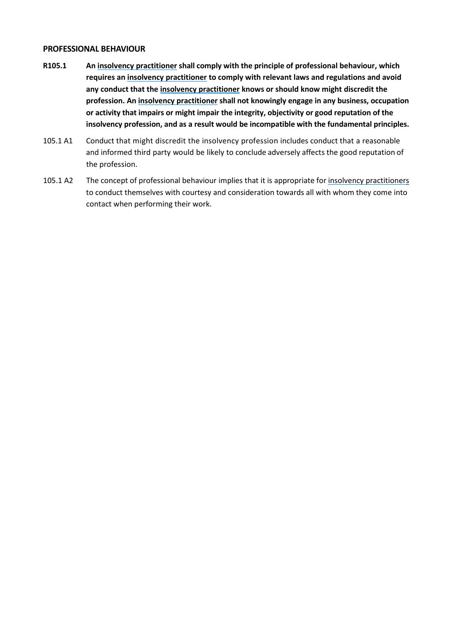#### **PROFESSIONAL BEHAVIOUR**

- **R105.1 An [insolvency practitioner](#page-69-1) shall comply with the principle of professional behaviour, which requires a[n insolvency practitioner](#page-69-1) to comply with relevant laws and regulations and avoid any conduct that th[e insolvency practitioner](#page-69-1) knows or should know might discredit the profession. An [insolvency practitioner](#page-69-1) shall not knowingly engage in any business, occupation or activity that impairs or might impair the integrity, objectivity or good reputation of the insolvency profession, and as a result would be incompatible with the fundamental principles.**
- 105.1 A1 Conduct that might discredit the insolvency profession includes conduct that a reasonable and informed third party would be likely to conclude adversely affects the good reputation of the profession.
- 105.1 A2 The concept of professional behaviour implies that it is appropriate fo[r insolvency practitioners](#page-69-1) to conduct themselves with courtesy and consideration towards all with whom they come into contact when performing their work.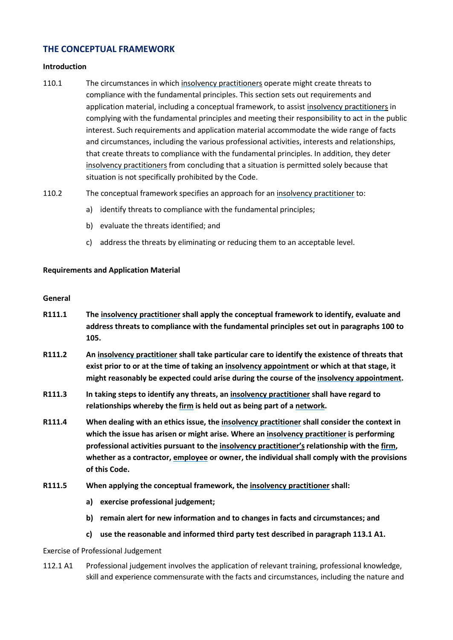### **THE CONCEPTUAL FRAMEWORK**

#### **Introduction**

- 110.1 The circumstances in whic[h insolvency practitioners](#page-69-1) operate might create threats to compliance with the fundamental principles. This section sets out requirements and application material, including a conceptual framework, to assist [insolvency practitioners](#page-69-1) in complying with the fundamental principles and meeting their responsibility to act in the public interest. Such requirements and application material accommodate the wide range of facts and circumstances, including the various professional activities, interests and relationships, that create threats to compliance with the fundamental principles. In addition, they deter [insolvency practitioners](#page-69-1) from concluding that a situation is permitted solely because that situation is not specifically prohibited by the Code.
- 110.2 The conceptual framework specifies an approach for an [insolvency practitioner](#page-69-1) to:
	- a) identify threats to compliance with the fundamental principles;
	- b) evaluate the threats identified; and
	- c) address the threats by eliminating or reducing them to an acceptable level.

#### **Requirements and Application Material**

#### **General**

- **R111.1 The [insolvency practitioner](#page-69-1) shall apply the conceptual framework to identify, evaluate and address threats to compliance with the fundamental principles set out in paragraphs 100 to 105.**
- **R111.2 An [insolvency practitioner](#page-69-1) shall take particular care to identify the existence of threats that exist prior to or at the time of taking an [insolvency appointment](#page-69-0) or which at that stage, it might reasonably be expected could arise during the course of th[e insolvency appointment.](#page-69-0)**
- **R111.3 In taking steps to identify any threats, an [insolvency practitioner](#page-69-1) shall have regard to relationships whereby th[e firm](#page-69-3) is held out as being part of [a network.](#page-69-6)**
- **R111.4 When dealing with an ethics issue, th[e insolvency practitioner](#page-69-1) shall consider the context in which the issue has arisen or might arise. Where an [insolvency practitioner](#page-69-1) is performing professional activities pursuant to the [insolvency practitioner'](#page-69-1)srelationship with the [firm,](#page-69-3) whether as a contractor, [employee](#page-69-7) or owner, the individual shall comply with the provisions of this Code.**
- **R111.5 When applying the conceptual framework, the [insolvency practitioner](#page-69-1) shall:** 
	- **a) exercise professional judgement;**
	- **b) remain alert for new information and to changes in facts and circumstances; and**
	- **c) use the reasonable and informed third party test described in paragraph 113.1 A1.**

#### Exercise of Professional Judgement

112.1 A1 Professional judgement involves the application of relevant training, professional knowledge, skill and experience commensurate with the facts and circumstances, including the nature and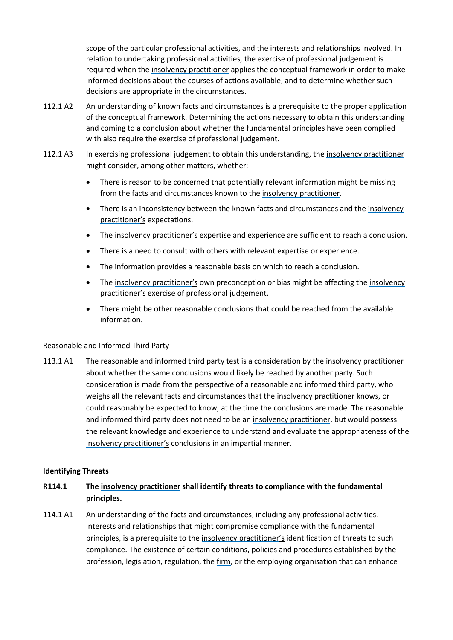scope of the particular professional activities, and the interests and relationships involved. In relation to undertaking professional activities, the exercise of professional judgement is required when the [insolvency practitioner](#page-69-1) applies the conceptual framework in order to make informed decisions about the courses of actions available, and to determine whether such decisions are appropriate in the circumstances.

- 112.1 A2 An understanding of known facts and circumstances is a prerequisite to the proper application of the conceptual framework. Determining the actions necessary to obtain this understanding and coming to a conclusion about whether the fundamental principles have been complied with also require the exercise of professional judgement.
- 112.1 A3 In exercising professional judgement to obtain this understanding, the [insolvency practitioner](#page-69-1) might consider, among other matters, whether:
	- There is reason to be concerned that potentially relevant information might be missing from the facts and circumstances known to the [insolvency practitioner.](#page-69-1)
	- There is an inconsistency between the known facts and circumstances and the [insolvency](#page-69-1) [practitioner'](#page-69-1)s expectations.
	- The [insolvency practitioner'](#page-69-1)s expertise and experience are sufficient to reach a conclusion.
	- There is a need to consult with others with relevant expertise or experience.
	- The information provides a reasonable basis on which to reach a conclusion.
	- The [insolvency practitioner'](#page-69-1)s own preconception or bias might be affecting the [insolvency](#page-69-1)  [practitioner'](#page-69-1)s exercise of professional judgement.
	- There might be other reasonable conclusions that could be reached from the available information.

#### Reasonable and Informed Third Party

113.1 A1 The reasonable and informed third party test is a consideration by the [insolvency practitioner](#page-69-1) about whether the same conclusions would likely be reached by another party. Such consideration is made from the perspective of a reasonable and informed third party, who weighs all the relevant facts and circumstances that the [insolvency practitioner](#page-69-1) knows, or could reasonably be expected to know, at the time the conclusions are made. The reasonable and informed third party does not need to be an [insolvency practitioner,](#page-69-1) but would possess the relevant knowledge and experience to understand and evaluate the appropriateness of the [insolvency practitioner'](#page-69-1)s conclusions in an impartial manner.

#### **Identifying Threats**

### **R114.1 The [insolvency practitioner](#page-69-1) shall identify threats to compliance with the fundamental principles.**

114.1 A1 An understanding of the facts and circumstances, including any professional activities, interests and relationships that might compromise compliance with the fundamental principles, is a prerequisite to the [insolvency practitioner's](#page-69-1) identification of threats to such compliance. The existence of certain conditions, policies and procedures established by the profession, legislation, regulation, the [firm,](#page-69-3) or the employing organisation that can enhance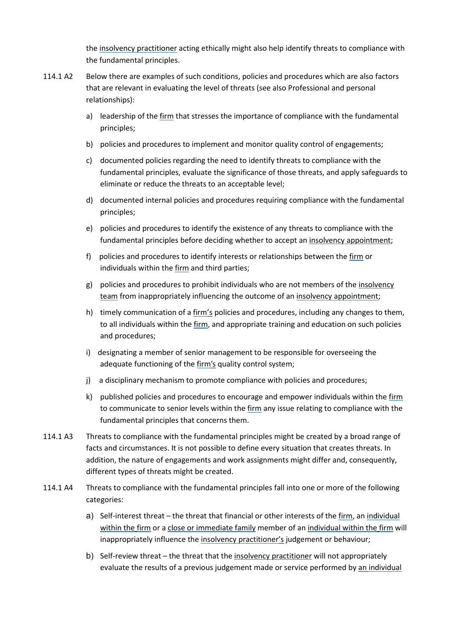the [insolvency practitioner](#page-69-1) acting ethically might also help identify threats to compliance with the fundamental principles.

- 114.1 A2 Below there are examples of such conditions, policies and procedures which are also factors that are relevant in evaluating the level of threats (see also Professional and personal relationships):
	- a) leadership of the [firm](#page-69-3) that stresses the importance of compliance with the fundamental principles;
	- b) policies and procedures to implement and monitor quality control of engagements;
	- c) documented policies regarding the need to identify threats to compliance with the fundamental principles, evaluate the significance of those threats, and apply safeguards to eliminate or reduce the threats to an acceptable level;
	- d) documented internal policies and procedures requiring compliance with the fundamental principles;
	- e) policies and procedures to identify the existence of any threats to compliance with the fundamental principles before deciding whether to accept an [insolvency appointment;](#page-69-0)
	- f) policies and procedures to identify interests or relationships between the [firm](#page-69-3) or individuals within the [firm](#page-69-3) and third parties;
	- g) policies and procedures to prohibit individuals who are not members of the insolvency [team](#page-69-4) from inappropriately influencing the outcome of an [insolvency appointment;](#page-69-0)
	- h) timely communication of a [firm'](#page-69-3)s policies and procedures, including any changes to them, to all individuals within the [firm,](#page-69-3) and appropriate training and education on such policies and procedures;
	- i) designating a member of senior management to be responsible for overseeing the adequate functioning of the [firm's](#page-69-3) quality control system;
	- j) a disciplinary mechanism to promote compliance with policies and procedures;
	- k) published policies and procedures to encourage and empower individuals within the [firm](#page-69-3) to communicate to senior levels within th[e firm](#page-69-3) any issue relating to compliance with the fundamental principles that concerns them.
- 114.1 A3 Threats to compliance with the fundamental principles might be created by a broad range of facts and circumstances. It is not possible to define every situation that creates threats. In addition, the nature of engagements and work assignments might differ and, consequently, different types of threats might be created.
- 114.1 A4 Threats to compliance with the fundamental principles fall into one or more of the following categories:
	- a) Self-interest threat the threat that financial or other interests of the [firm,](#page-69-3) a[n individual](#page-69-8)  [within the](#page-69-8) [firm](#page-69-3) or a [close or immediate family](#page-69-9) member of a[n individual within the](#page-69-8) [firm](#page-69-3) will inappropriately influence the [insolvency practitioner'](#page-69-1)s judgement or behaviour;
	- b) Self-review threat the threat that the [insolvency practitioner](#page-69-1) will not appropriately evaluate the results of a previous judgement made or service performed by an individual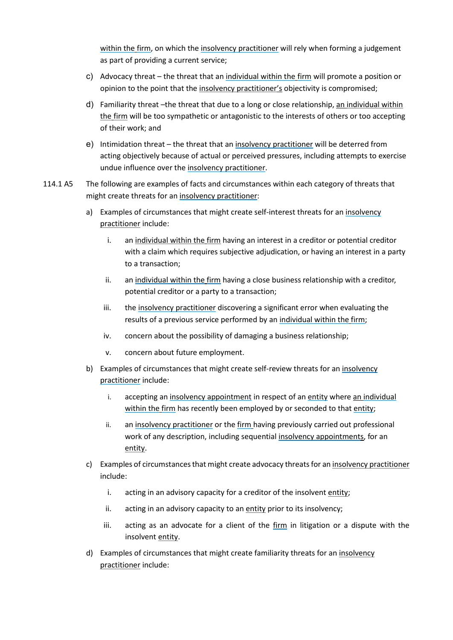[within the](#page-69-8) [firm,](#page-69-3) on which the [insolvency practitioner](#page-69-1) will rely when forming a judgement as part of providing a current service;

- c) Advocacy threat the threat that an [individual within the](#page-69-8) [firm](#page-69-3) will promote a position or opinion to the point that the [insolvency practitioner'](#page-69-1)s objectivity is compromised;
- d) Familiarity threat –the threat that due to a long or close relationship, an [individual within](#page-69-8)  [the](#page-69-8) [firm](#page-69-3) will be too sympathetic or antagonistic to the interests of others or too accepting of their work; and
- e) Intimidation threat the threat that a[n insolvency practitioner](#page-69-1) will be deterred from acting objectively because of actual or perceived pressures, including attempts to exercise undue influence over th[e insolvency practitioner.](#page-69-1)
- 114.1 A5 The following are examples of facts and circumstances within each category of threats that might create threats for an [insolvency practitioner:](#page-69-1)
	- a) Examples of circumstances that might create self-interest threats for a[n insolvency](#page-69-1)  [practitioner](#page-69-1) include:
		- i. an [individual within the](#page-69-8) [firm](#page-69-3) having an interest in a creditor or potential creditor with a claim which requires subjective adjudication, or having an interest in a party to a transaction;
		- ii. an [individual within the](#page-69-8) [firm](#page-69-3) having a close business relationship with a creditor, potential creditor or a party to a transaction;
		- iii. the [insolvency practitioner](#page-69-1) discovering a significant error when evaluating the results of a previous service performed by a[n individual within the](#page-69-8) [firm;](#page-69-3)
		- iv. concern about the possibility of damaging a business relationship;
		- v. concern about future employment.
	- b) Examples of circumstances that might create self-review threats for an [insolvency](#page-69-1)  [practitioner](#page-69-1) include:
		- i. accepting an [insolvency appointment](#page-69-0) in respect of an [entity](#page-69-5) where an individual [within the](#page-69-8) [firm](#page-69-3) has recently been employed by or seconded to that [entity;](#page-69-5)
		- ii. an [insolvency practitioner](#page-69-1) or the [firm](#page-69-3) having previously carried out professional work of any description, including sequential [insolvency appointments](#page-69-0), for an [entity.](#page-69-5)
	- c) Examples of circumstances that might create advocacy threats for a[n insolvency practitioner](#page-69-1) include:
		- i. acting in an advisory capacity for a creditor of the insolven[t entity;](#page-69-5)
		- ii. acting in an advisory capacity to an [entity](#page-69-5) prior to its insolvency;
		- iii. acting as an advocate for a client of the [firm](#page-69-3) in litigation or a dispute with the insolvent [entity.](#page-69-5)
	- d) Examples of circumstances that might create familiarity threats for an [insolvency](#page-69-1)  [practitioner](#page-69-1) include: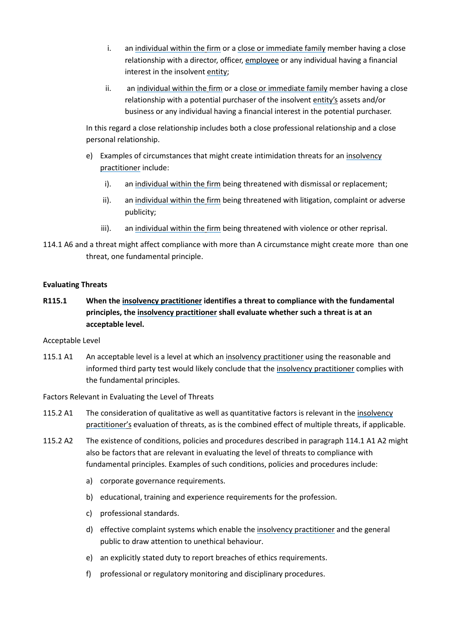- i. an [individual within the](#page-69-8) [firm](#page-69-3) or a [close or immediate family](#page-69-9) member having a close relationship with a director, officer, [employee](#page-69-7) or any individual having a financial interest in the insolvent [entity;](#page-69-5)
- ii. an [individual within the](#page-69-8) [firm](#page-69-3) or a [close or immediate family](#page-69-9) member having a close relationship with a potential purchaser of the insolvent [entity'](#page-69-5)s assets and/or business or any individual having a financial interest in the potential purchaser.

In this regard a close relationship includes both a close professional relationship and a close personal relationship.

- e) Examples of circumstances that might create intimidation threats for an [insolvency](#page-69-1)  [practitioner](#page-69-1) include:
	- i). an [individual within the](#page-69-8) [firm](#page-69-3) being threatened with dismissal or replacement;
	- ii). an [individual within the](#page-69-8) [firm](#page-69-3) being threatened with litigation, complaint or adverse publicity;
	- iii). an [individual within the](#page-69-8) [firm](#page-69-3) being threatened with violence or other reprisal.
- 114.1 A6 and a threat might affect compliance with more than A circumstance might create more than one threat, one fundamental principle.

#### **Evaluating Threats**

**R115.1 When the [insolvency practitioner](#page-69-1) identifies a threat to compliance with the fundamental principles, th[e insolvency practitioner](#page-69-1) shall evaluate whether such a threat is at an acceptable level.**

#### Acceptable Level

115.1 A1 An acceptable level is a level at which an [insolvency practitioner](#page-69-1) using the reasonable and informed third party test would likely conclude that the [insolvency practitioner](#page-69-1) complies with the fundamental principles.

#### Factors Relevant in Evaluating the Level of Threats

- 115.2 A1 The consideration of qualitative as well as quantitative factors is relevant in the [insolvency](#page-69-1)  [practitioner'](#page-69-1)s evaluation of threats, as is the combined effect of multiple threats, if applicable.
- 115.2 A2 The existence of conditions, policies and procedures described in paragraph 114.1 A1 A2 might also be factors that are relevant in evaluating the level of threats to compliance with fundamental principles. Examples of such conditions, policies and procedures include:
	- a) corporate governance requirements.
	- b) educational, training and experience requirements for the profession.
	- c) professional standards.
	- d) effective complaint systems which enable the [insolvency practitioner](#page-69-1) and the general public to draw attention to unethical behaviour.
	- e) an explicitly stated duty to report breaches of ethics requirements.
	- f) professional or regulatory monitoring and disciplinary procedures.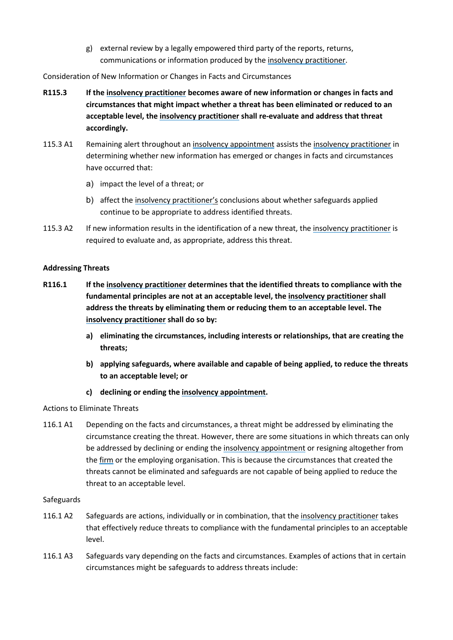g) external review by a legally empowered third party of the reports, returns, communications or information produced by the [insolvency practitioner.](#page-69-1)

Consideration of New Information or Changes in Facts and Circumstances

- **R115.3 If the [insolvency practitioner](#page-69-1) becomes aware of new information or changes in facts and circumstances that might impact whether a threat has been eliminated or reduced to an acceptable level, the [insolvency practitioner](#page-69-1) shall re-evaluate and address that threat accordingly.**
- 115.3 A1 Remaining alert throughout a[n insolvency appointment](#page-69-0) assists the [insolvency practitioner](#page-69-1) in determining whether new information has emerged or changes in facts and circumstances have occurred that:
	- a) impact the level of a threat; or
	- b) affect th[e insolvency practitioner'](#page-69-1)s conclusions about whether safeguards applied continue to be appropriate to address identified threats.
- 115.3 A2 If new information results in the identification of a new threat, the [insolvency practitioner](#page-69-1) is required to evaluate and, as appropriate, address this threat.

#### **Addressing Threats**

- **R116.1 If the [insolvency practitioner](#page-69-1) determines that the identified threats to compliance with the fundamental principles are not at an acceptable level, the [insolvency practitioner](#page-69-1) shall address the threats by eliminating them or reducing them to an acceptable level. The [insolvency practitioner](#page-69-1) shall do so by:**
	- **a) eliminating the circumstances, including interests or relationships, that are creating the threats;**
	- **b) applying safeguards, where available and capable of being applied, to reduce the threats to an acceptable level; or**
	- **c) declining or ending the [insolvency appointment.](#page-69-0)**

### Actions to Eliminate Threats

116.1 A1 Depending on the facts and circumstances, a threat might be addressed by eliminating the circumstance creating the threat. However, there are some situations in which threats can only be addressed by declining or ending the [insolvency appointment](#page-69-0) or resigning altogether from the [firm](#page-69-3) or the employing organisation. This is because the circumstances that created the threats cannot be eliminated and safeguards are not capable of being applied to reduce the threat to an acceptable level.

#### Safeguards

- 116.1 A2 Safeguards are actions, individually or in combination, that the [insolvency practitioner](#page-69-1) takes that effectively reduce threats to compliance with the fundamental principles to an acceptable level.
- 116.1 A3 Safeguards vary depending on the facts and circumstances. Examples of actions that in certain circumstances might be safeguards to address threats include: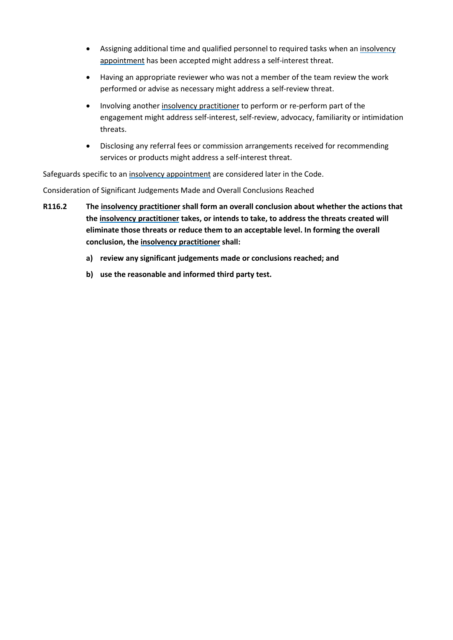- Assigning additional time and qualified personnel to required tasks when a[n insolvency](#page-69-0)  [appointment](#page-69-0) has been accepted might address a self-interest threat.
- Having an appropriate reviewer who was not a member of the team review the work performed or advise as necessary might address a self-review threat.
- Involving anothe[r insolvency practitioner](#page-69-1) to perform or re-perform part of the engagement might address self-interest, self-review, advocacy, familiarity or intimidation threats.
- Disclosing any referral fees or commission arrangements received for recommending services or products might address a self-interest threat.

Safeguards specific to a[n insolvency appointment a](#page-69-0)re considered later in the Code.

Consideration of Significant Judgements Made and Overall Conclusions Reached

- **R116.2 The [insolvency practitioner](#page-69-1) shall form an overall conclusion about whether the actions that the [insolvency practitioner](#page-69-1) takes, or intends to take, to address the threats created will eliminate those threats or reduce them to an acceptable level. In forming the overall conclusion, the [insolvency practitioner](#page-69-1) shall:** 
	- **a) review any significant judgements made or conclusions reached; and**
	- **b) use the reasonable and informed third party test.**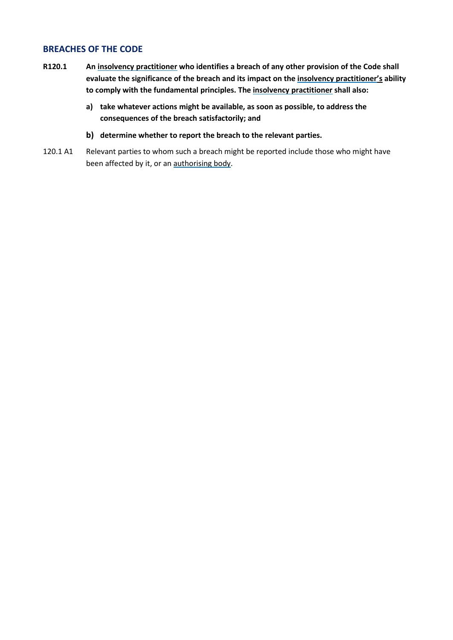### **BREACHES OF THE CODE**

- **R120.1 An [insolvency practitioner](#page-69-1) who identifies a breach of any other provision of the Code shall evaluate the significance of the breach and its impact on the [insolvency practitioner'](#page-69-1)s ability to comply with the fundamental principles. Th[e insolvency practitioner](#page-69-1) shall also:**
	- **a) take whatever actions might be available, as soon as possible, to address the consequences of the breach satisfactorily; and**
	- **b) determine whether to report the breach to the relevant parties.**
- 120.1 A1 Relevant parties to whom such a breach might be reported include those who might have been affected by it, or an [authorising body.](#page-69-2)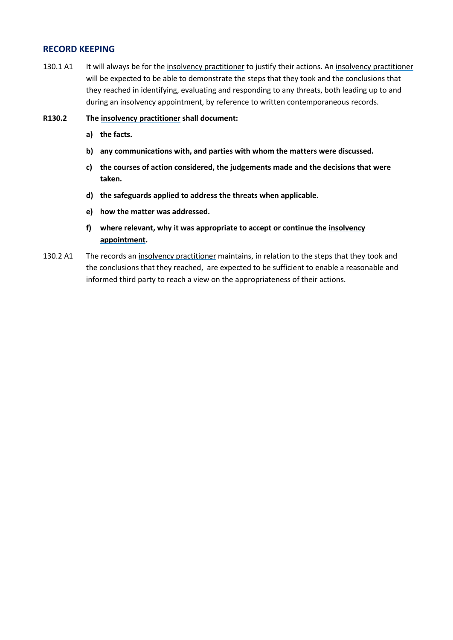### **RECORD KEEPING**

- 130.1 A1 It will always be for th[e insolvency practitioner](#page-69-1) to justify their actions. A[n insolvency practitioner](#page-69-1) will be expected to be able to demonstrate the steps that they took and the conclusions that they reached in identifying, evaluating and responding to any threats, both leading up to and during an [insolvency appointment,](#page-69-0) by reference to written contemporaneous records.
- **R130.2 The [insolvency practitioner](#page-69-1) shall document:**
	- **a) the facts.**
	- **b) any communications with, and parties with whom the matters were discussed.**
	- **c) the courses of action considered, the judgements made and the decisions that were taken.**
	- **d) the safeguards applied to address the threats when applicable.**
	- **e) how the matter was addressed.**
	- **f) where relevant, why it was appropriate to accept or continue the [insolvency](#page-69-0)  [appointment.](#page-69-0)**
- 130.2 A1 The records an [insolvency practitioner](#page-69-1) maintains, in relation to the steps that they took and the conclusions that they reached, are expected to be sufficient to enable a reasonable and informed third party to reach a view on the appropriateness of their actions.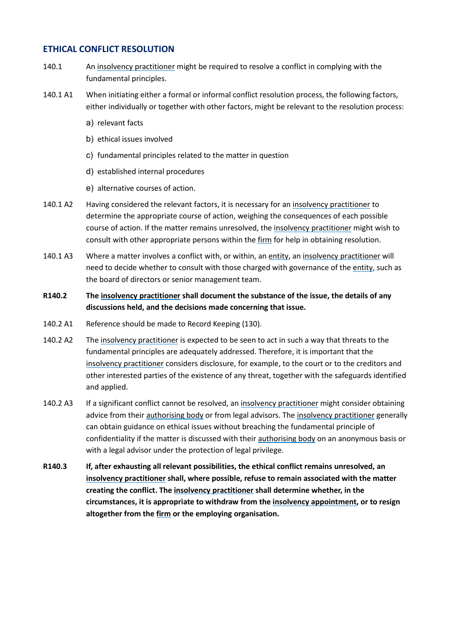### **ETHICAL CONFLICT RESOLUTION**

- 140.1 An [insolvency practitioner](#page-69-1) might be required to resolve a conflict in complying with the fundamental principles.
- 140.1 A1 When initiating either a formal or informal conflict resolution process, the following factors, either individually or together with other factors, might be relevant to the resolution process:
	- a) relevant facts
	- b) ethical issues involved
	- c) fundamental principles related to the matter in question
	- d) established internal procedures
	- e) alternative courses of action.
- 140.1 A2 Having considered the relevant factors, it is necessary for an [insolvency practitioner](#page-69-1) to determine the appropriate course of action, weighing the consequences of each possible course of action. If the matter remains unresolved, the [insolvency practitioner](#page-69-1) might wish to consult with other appropriate persons within the [firm](#page-69-3) for help in obtaining resolution.
- 140.1 A3 Where a matter involves a conflict with, or within, an [entity,](#page-69-5) an [insolvency practitioner](#page-69-1) will need to decide whether to consult with those charged with governance of the [entity,](#page-69-5) such as the board of directors or senior management team.
- **R140.2 The [insolvency practitioner](#page-69-1) shall document the substance of the issue, the details of any discussions held, and the decisions made concerning that issue.**
- 140.2 A1 Reference should be made to Record Keeping (130).
- 140.2 A2 The [insolvency practitioner](#page-69-1) is expected to be seen to act in such a way that threats to the fundamental principles are adequately addressed. Therefore, it is important that the [insolvency practitioner](#page-69-1) considers disclosure, for example, to the court or to the creditors and other interested parties of the existence of any threat, together with the safeguards identified and applied.
- 140.2 A3 If a significant conflict cannot be resolved, a[n insolvency practitioner](#page-69-1) might consider obtaining advice from their [authorising body](#page-69-2) or from legal advisors. Th[e insolvency practitioner](#page-69-1) generally can obtain guidance on ethical issues without breaching the fundamental principle of confidentiality if the matter is discussed with their [authorising body](#page-69-2) on an anonymous basis or with a legal advisor under the protection of legal privilege.
- **R140.3 If, after exhausting all relevant possibilities, the ethical conflict remains unresolved, an [insolvency practitioner](#page-69-1) shall, where possible, refuse to remain associated with the matter creating the conflict. The [insolvency practitioner](#page-69-1) shall determine whether, in the circumstances, it is appropriate to withdraw from the [insolvency appointment,](#page-69-0) or to resign altogether from th[e firm](#page-69-3) or the employing organisation.**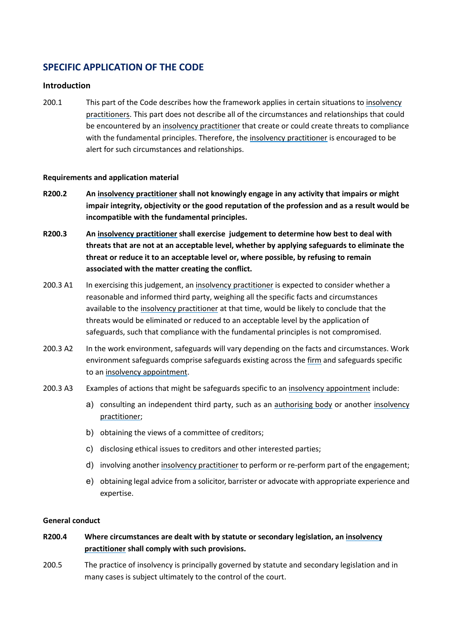## **SPECIFIC APPLICATION OF THE CODE**

#### **Introduction**

200.1 This part of the Code describes how the framework applies in certain situations to [insolvency](#page-69-1)  [practitioners](#page-69-1). This part does not describe all of the circumstances and relationships that could be encountered by an [insolvency practitioner](#page-69-1) that create or could create threats to compliance with the fundamental principles. Therefore, th[e insolvency practitioner](#page-69-1) is encouraged to be alert for such circumstances and relationships.

#### **Requirements and application material**

- **R200.2 An [insolvency practitioner](#page-69-1) shall not knowingly engage in any activity that impairs or might impair integrity, objectivity or the good reputation of the profession and as a result would be incompatible with the fundamental principles.**
- **R200.3 An [insolvency practitioner](#page-69-1) shall exercise judgement to determine how best to deal with threats that are not at an acceptable level, whether by applying safeguards to eliminate the threat or reduce it to an acceptable level or, where possible, by refusing to remain associated with the matter creating the conflict.**
- 200.3 A1 In exercising this judgement, a[n insolvency practitioner](#page-69-1) is expected to consider whether a reasonable and informed third party, weighing all the specific facts and circumstances available to the [insolvency practitioner](#page-69-1) at that time, would be likely to conclude that the threats would be eliminated or reduced to an acceptable level by the application of safeguards, such that compliance with the fundamental principles is not compromised.
- 200.3 A2 In the work environment, safeguards will vary depending on the facts and circumstances. Work environment safeguards comprise safeguards existing across the [firm](#page-69-3) and safeguards specific to an [insolvency appointment.](#page-69-0)
- 200.3 A3 Examples of actions that might be safeguards specific to a[n insolvency appointment](#page-69-0) include:
	- a) consulting an independent third party, such as an [authorising body](#page-69-2) or another insolvency [practitioner;](#page-69-1)
	- b) obtaining the views of a committee of creditors;
	- c) disclosing ethical issues to creditors and other interested parties;
	- d) involving another [insolvency practitioner](#page-69-1) to perform or re-perform part of the engagement;
	- e) obtaining legal advice from a solicitor, barrister or advocate with appropriate experience and expertise.

#### **General conduct**

- **R200.4 Where circumstances are dealt with by statute or secondary legislation, an [insolvency](#page-69-1)  [practitioner](#page-69-1) shall comply with such provisions.**
- 200.5 The practice of insolvency is principally governed by statute and secondary legislation and in many cases is subject ultimately to the control of the court.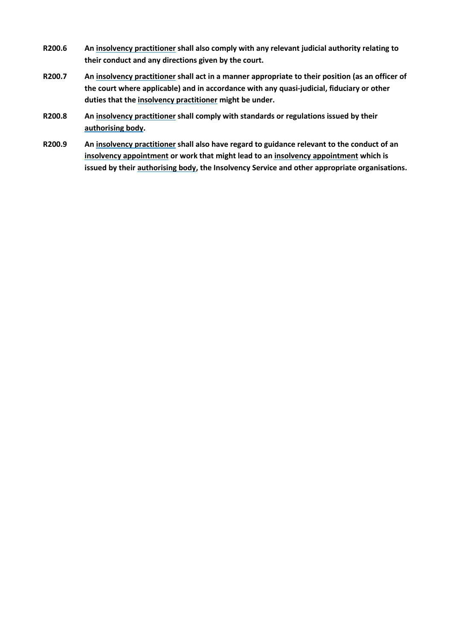- **R200.6 A[n insolvency practitioner](#page-69-1) shall also comply with any relevant judicial authority relating to their conduct and any directions given by the court.**
- **R200.7 A[n insolvency practitioner](#page-69-1) shall act in a manner appropriate to their position (as an officer of the court where applicable) and in accordance with any quasi-judicial, fiduciary or other duties that the [insolvency practitioner](#page-69-1) might be under.**
- **R200.8 A[n insolvency practitioner](#page-69-1) shall comply with standards or regulations issued by their [authorising body.](#page-69-2)**
- **R200.9 A[n insolvency practitioner](#page-69-1) shall also have regard to guidance relevant to the conduct of an [insolvency appointment](#page-69-0) or work that might lead to an [insolvency appointment](#page-69-0) which is issued by thei[r authorising body,](#page-69-2) the Insolvency Service and other appropriate organisations.**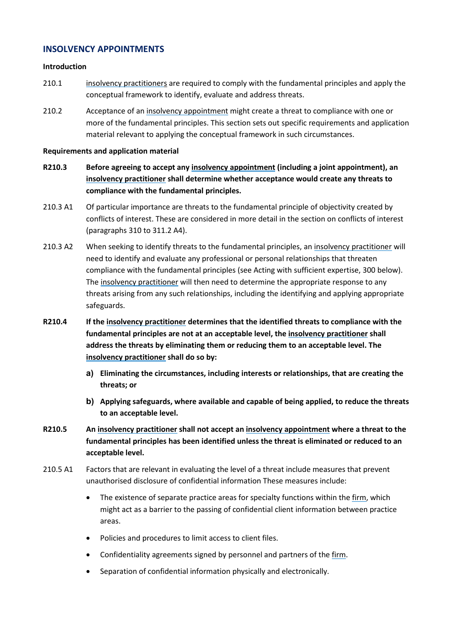### **INSOLVENCY APPOINTMENTS**

#### **Introduction**

- 210.1 [insolvency practitioners](#page-69-1) are required to comply with the fundamental principles and apply the conceptual framework to identify, evaluate and address threats.
- 210.2 Acceptance of a[n insolvency appointment](#page-69-0) might create a threat to compliance with one or more of the fundamental principles. This section sets out specific requirements and application material relevant to applying the conceptual framework in such circumstances.

#### **Requirements and application material**

- **R210.3 Before agreeing to accept any [insolvency appointment](#page-69-0) (including a joint appointment), an [insolvency practitioner](#page-69-1) shall determine whether acceptance would create any threats to compliance with the fundamental principles.**
- 210.3 A1 Of particular importance are threats to the fundamental principle of objectivity created by conflicts of interest. These are considered in more detail in the section on conflicts of interest (paragraphs 310 to 311.2 A4).
- 210.3 A2 When seeking to identify threats to the fundamental principles, an [insolvency practitioner](#page-69-1) will need to identify and evaluate any professional or personal relationships that threaten compliance with the fundamental principles (see Acting with sufficient expertise, 300 below). The [insolvency practitioner](#page-69-1) will then need to determine the appropriate response to any threats arising from any such relationships, including the identifying and applying appropriate safeguards.
- **R210.4 If the [insolvency practitioner](#page-69-1) determines that the identified threats to compliance with the fundamental principles are not at an acceptable level, the [insolvency practitioner](#page-69-1) shall address the threats by eliminating them or reducing them to an acceptable level. The [insolvency practitioner](#page-69-1) shall do so by:**
	- **a) Eliminating the circumstances, including interests or relationships, that are creating the threats; or**
	- **b) Applying safeguards, where available and capable of being applied, to reduce the threats to an acceptable level.**
- **R210.5 An [insolvency practitioner](#page-69-1) shall not accept a[n insolvency appointment](#page-69-0) where a threat to the fundamental principles has been identified unless the threat is eliminated or reduced to an acceptable level.**
- 210.5 A1 Factors that are relevant in evaluating the level of a threat include measures that prevent unauthorised disclosure of confidential information These measures include:
	- The existence of separate practice areas for specialty functions within the [firm,](#page-69-3) which might act as a barrier to the passing of confidential client information between practice areas.
	- Policies and procedures to limit access to client files.
	- Confidentiality agreements signed by personnel and partners of the [firm.](#page-69-3)
	- Separation of confidential information physically and electronically.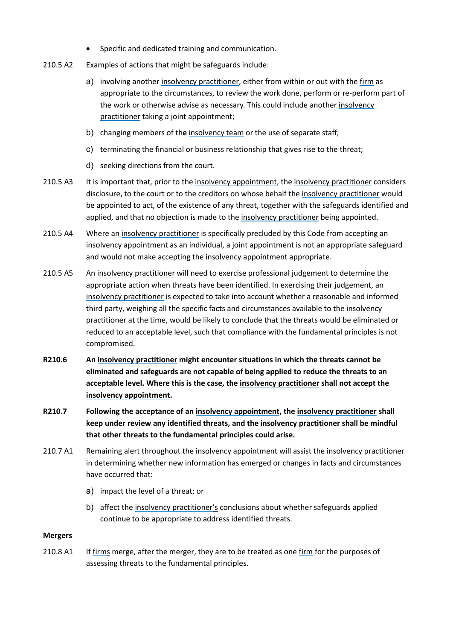- Specific and dedicated training and communication.
- 210.5 A2 Examples of actions that might be safeguards include:
	- a) involving another [insolvency practitioner,](#page-69-1) either from within or out with the [firm](#page-69-3) as appropriate to the circumstances, to review the work done, perform or re-perform part of the work or otherwise advise as necessary. This could include anothe[r insolvency](#page-69-1)  [practitioner](#page-69-1) taking a joint appointment;
	- b) changing members of th**e** [insolvency team](#page-69-4) or the use of separate staff;
	- c) terminating the financial or business relationship that gives rise to the threat;
	- d) seeking directions from the court.
- 210.5 A3 It is important that, prior to th[e insolvency appointment,](#page-69-0) the [insolvency practitioner](#page-69-1) considers disclosure, to the court or to the creditors on whose behalf the [insolvency practitioner](#page-69-1) would be appointed to act, of the existence of any threat, together with the safeguards identified and applied, and that no objection is made to the [insolvency practitioner](#page-69-1) being appointed.
- 210.5 A4 Where an [insolvency practitioner](#page-69-1) is specifically precluded by this Code from accepting an [insolvency appointment](#page-69-0) as an individual, a joint appointment is not an appropriate safeguard and would not make accepting th[e insolvency appointment](#page-69-0) appropriate.
- 210.5 A5 An [insolvency practitioner](#page-69-1) will need to exercise professional judgement to determine the appropriate action when threats have been identified. In exercising their judgement, an [insolvency practitioner](#page-69-1) is expected to take into account whether a reasonable and informed third party, weighing all the specific facts and circumstances available to the [insolvency](#page-69-1)  [practitioner](#page-69-1) at the time, would be likely to conclude that the threats would be eliminated or reduced to an acceptable level, such that compliance with the fundamental principles is not compromised.
- **R210.6 An [insolvency practitioner](#page-69-1) might encounter situations in which the threats cannot be eliminated and safeguards are not capable of being applied to reduce the threats to an acceptable level. Where this is the case, the [insolvency practitioner](#page-69-1) shall not accept the [insolvency appointment.](#page-69-0)**
- **R210.7 Following the acceptance of an [insolvency appointment,](#page-69-0) the [insolvency practitioner](#page-69-1) shall keep under review any identified threats, and th[e insolvency practitioner](#page-69-1) shall be mindful that other threats to the fundamental principles could arise.**
- 210.7 A1 Remaining alert throughout the [insolvency appointment](#page-69-0) will assist the [insolvency practitioner](#page-69-1) in determining whether new information has emerged or changes in facts and circumstances have occurred that:
	- a) impact the level of a threat; or
	- b) affect th[e insolvency practitioner'](#page-69-1)s conclusions about whether safeguards applied continue to be appropriate to address identified threats.

#### **Mergers**

210.8 A1 If [firms](#page-69-3) merge, after the merger, they are to be treated as one [firm](#page-69-3) for the purposes of assessing threats to the fundamental principles.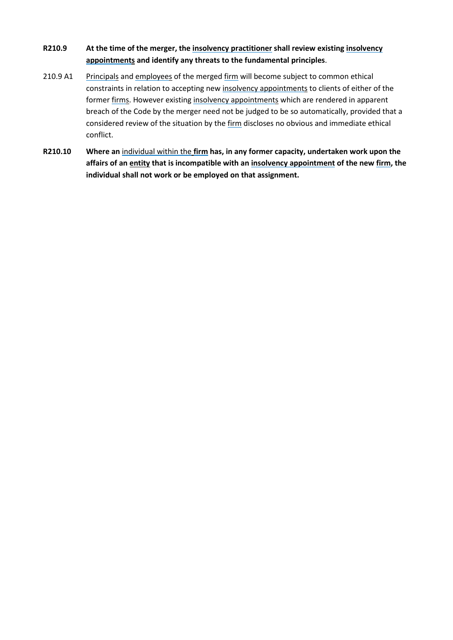### **R210.9 At the time of the merger, the [insolvency practitioner](#page-69-1) shall review existing [insolvency](#page-69-0)  [appointments](#page-69-0) and identify any threats to the fundamental principles**.

- 210.9 A1 [Principals](#page-70-0) and [employees](#page-69-7) of the merged [firm](#page-69-3) will become subject to common ethical constraints in relation to accepting ne[w insolvency appointments](#page-69-0) to clients of either of the former [firms](#page-69-3). However existing [insolvency appointments](#page-69-0) which are rendered in apparent breach of the Code by the merger need not be judged to be so automatically, provided that a considered review of the situation by the [firm](#page-69-3) discloses no obvious and immediate ethical conflict.
- **R210.10 Where an** [individual within the](#page-69-8) **[firm](#page-69-3) has, in any former capacity, undertaken work upon the affairs of an entity that is incompatible with an [insolvency appointment](#page-69-0) of the new [firm,](#page-69-3) the individual shall not work or be employed on that assignment.**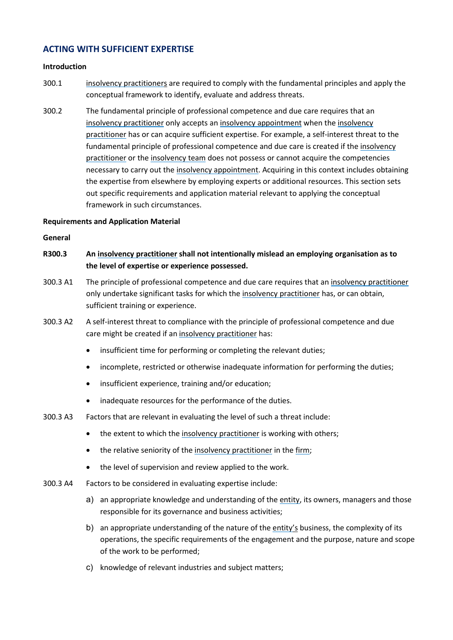### **ACTING WITH SUFFICIENT EXPERTISE**

#### **Introduction**

- 300.1 [insolvency practitioners](#page-69-1) are required to comply with the fundamental principles and apply the conceptual framework to identify, evaluate and address threats.
- 300.2 The fundamental principle of professional competence and due care requires that an [insolvency practitioner](#page-69-1) only accepts an [insolvency appointment](#page-69-0) when the [insolvency](#page-69-1)  [practitioner](#page-69-1) has or can acquire sufficient expertise. For example, a self-interest threat to the fundamental principle of professional competence and due care is created if the [insolvency](#page-69-1)  [practitioner](#page-69-1) or the [insolvency team](#page-69-4) does not possess or cannot acquire the competencies necessary to carry out the [insolvency appointment.](#page-69-0) Acquiring in this context includes obtaining the expertise from elsewhere by employing experts or additional resources. This section sets out specific requirements and application material relevant to applying the conceptual framework in such circumstances.

#### **Requirements and Application Material**

#### **General**

- **R300.3 An [insolvency practitioner](#page-69-1) shall not intentionally mislead an employing organisation as to the level of expertise or experience possessed.**
- 300.3 A1 The principle of professional competence and due care requires that an [insolvency practitioner](#page-69-1) only undertake significant tasks for which th[e insolvency practitioner](#page-69-1) has, or can obtain, sufficient training or experience.
- 300.3 A2 A self-interest threat to compliance with the principle of professional competence and due care might be created if an [insolvency practitioner](#page-69-1) has:
	- insufficient time for performing or completing the relevant duties;
	- incomplete, restricted or otherwise inadequate information for performing the duties;
	- insufficient experience, training and/or education;
	- inadequate resources for the performance of the duties.
- 300.3 A3 Factors that are relevant in evaluating the level of such a threat include:
	- the extent to which the [insolvency practitioner](#page-69-1) is working with others;
	- the relative seniority of the [insolvency practitioner](#page-69-1) in the [firm;](#page-69-3)
	- the level of supervision and review applied to the work.
- 300.3 A4 Factors to be considered in evaluating expertise include:
	- a) an appropriate knowledge and understanding of the [entity,](#page-69-5) its owners, managers and those responsible for its governance and business activities;
	- b) an appropriate understanding of the nature of the  $entity's$  business, the complexity of its operations, the specific requirements of the engagement and the purpose, nature and scope of the work to be performed;
	- c) knowledge of relevant industries and subject matters;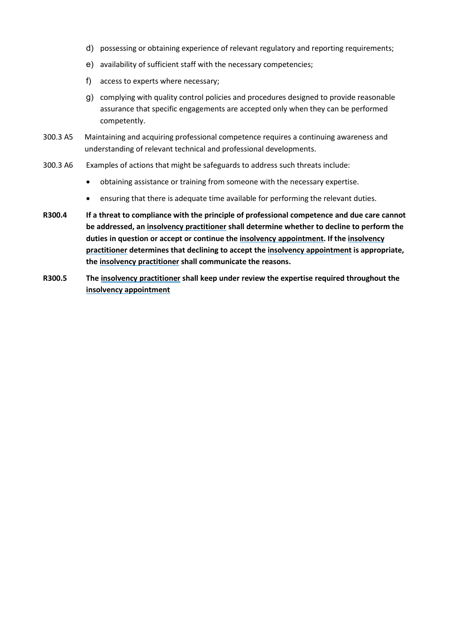- d) possessing or obtaining experience of relevant regulatory and reporting requirements;
- e) availability of sufficient staff with the necessary competencies;
- f) access to experts where necessary;
- g) complying with quality control policies and procedures designed to provide reasonable assurance that specific engagements are accepted only when they can be performed competently.
- 300.3 A5 Maintaining and acquiring professional competence requires a continuing awareness and understanding of relevant technical and professional developments.
- 300.3 A6 Examples of actions that might be safeguards to address such threats include:
	- obtaining assistance or training from someone with the necessary expertise.
	- ensuring that there is adequate time available for performing the relevant duties.
- **R300.4 If a threat to compliance with the principle of professional competence and due care cannot be addressed, an [insolvency practitioner](#page-69-1) shall determine whether to decline to perform the duties in question or accept or continue the [insolvency appointment.](#page-69-0) If th[e insolvency](#page-69-1)  [practitioner](#page-69-1) determines that declining to accept the [insolvency appointment](#page-69-0) is appropriate, the [insolvency practitioner](#page-69-1) shall communicate the reasons.**
- **R300.5 The [insolvency practitioner](#page-69-1) shall keep under review the expertise required throughout the [insolvency appointment](#page-69-0)**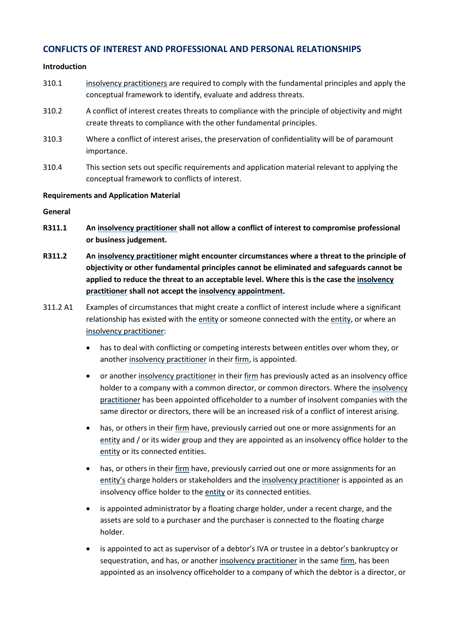### **CONFLICTS OF INTEREST AND PROFESSIONAL AND PERSONAL RELATIONSHIPS**

#### **Introduction**

- 310.1 [insolvency practitioners](#page-69-1) are required to comply with the fundamental principles and apply the conceptual framework to identify, evaluate and address threats.
- 310.2 A conflict of interest creates threats to compliance with the principle of objectivity and might create threats to compliance with the other fundamental principles.
- 310.3 Where a conflict of interest arises, the preservation of confidentiality will be of paramount importance.
- 310.4 This section sets out specific requirements and application material relevant to applying the conceptual framework to conflicts of interest.

#### **Requirements and Application Material**

#### **General**

- **R311.1 An [insolvency practitioner](#page-69-1) shall not allow a conflict of interest to compromise professional or business judgement.**
- **R311.2 An [insolvency practitioner](#page-69-1) might encounter circumstances where a threat to the principle of objectivity or other fundamental principles cannot be eliminated and safeguards cannot be applied to reduce the threat to an acceptable level. Where this is the case the [insolvency](#page-69-1)  [practitioner](#page-69-1) shall not accept the [insolvency appointment.](#page-69-0)**
- 311.2 A1 Examples of circumstances that might create a conflict of interest include where a significant relationship has existed with the [entity](#page-69-5) or someone connected with the [entity,](#page-69-5) or where an [insolvency practitioner:](#page-69-1)
	- has to deal with conflicting or competing interests between entitles over whom they, or another [insolvency practitioner](#page-69-1) in their [firm,](#page-69-3) is appointed.
	- or another [insolvency practitioner](#page-69-1) in their [firm](#page-69-3) has previously acted as an insolvency office holder to a company with a common director, or common directors. Where the [insolvency](#page-69-1)  [practitioner](#page-69-1) has been appointed officeholder to a number of insolvent companies with the same director or directors, there will be an increased risk of a conflict of interest arising.
	- has, or others in thei[r firm](#page-69-3) have, previously carried out one or more assignments for an [entity](#page-69-5) and / or its wider group and they are appointed as an insolvency office holder to the [entity](#page-69-5) or its connected entities.
	- has, or others in thei[r firm](#page-69-3) have, previously carried out one or more assignments for an [entity'](#page-69-5)s charge holders or stakeholders and th[e insolvency practitioner](#page-69-1) is appointed as an insolvency office holder to the [entity](#page-69-5) or its connected entities.
	- is appointed administrator by a floating charge holder, under a recent charge, and the assets are sold to a purchaser and the purchaser is connected to the floating charge holder.
	- is appointed to act as supervisor of a debtor's IVA or trustee in a debtor's bankruptcy or sequestration, and has, or another [insolvency practitioner](#page-69-1) in the same [firm,](#page-69-3) has been appointed as an insolvency officeholder to a company of which the debtor is a director, or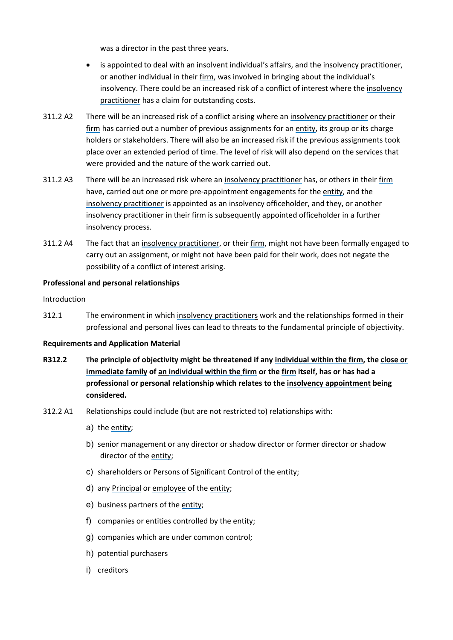was a director in the past three years.

- is appointed to deal with an insolvent individual's affairs, and the [insolvency practitioner,](#page-69-1) or another individual in thei[r firm,](#page-69-3) was involved in bringing about the individual's insolvency. There could be an increased risk of a conflict of interest where the [insolvency](#page-69-1)  [practitioner](#page-69-1) has a claim for outstanding costs.
- 311.2 A2 There will be an increased risk of a conflict arising where an [insolvency practitioner](#page-69-1) or their [firm](#page-69-3) has carried out a number of previous assignments for an [entity,](#page-69-5) its group or its charge holders or stakeholders. There will also be an increased risk if the previous assignments took place over an extended period of time. The level of risk will also depend on the services that were provided and the nature of the work carried out.
- 311.2 A3 There will be an increased risk where an [insolvency practitioner](#page-69-1) has, or others in their [firm](#page-69-3) have, carried out one or more pre-appointment engagements for the [entity,](#page-69-5) and the [insolvency practitioner](#page-69-1) is appointed as an insolvency officeholder, and they, or another [insolvency practitioner](#page-69-1) in their [firm](#page-69-3) is subsequently appointed officeholder in a further insolvency process.
- 311.2 A4 The fact that an [insolvency practitioner,](#page-69-1) or thei[r firm,](#page-69-3) might not have been formally engaged to carry out an assignment, or might not have been paid for their work, does not negate the possibility of a conflict of interest arising.

#### **Professional and personal relationships**

#### Introduction

312.1 The environment in whic[h insolvency practitioners](#page-69-1) work and the relationships formed in their professional and personal lives can lead to threats to the fundamental principle of objectivity.

#### **Requirements and Application Material**

- **R312.2 The principle of objectivity might be threatened if an[y individual within the](#page-69-8) [firm,](#page-69-3) the [close or](#page-69-9)  [immediate family](#page-69-9) of an [individual within the](#page-69-8) [firm](#page-69-3) or th[e firm](#page-69-3) itself, has or has had a professional or personal relationship which relates to the [insolvency appointment](#page-69-0) being considered.**
- 312.2 A1 Relationships could include (but are not restricted to) relationships with:
	- a) the [entity;](#page-69-5)
	- b) senior management or any director or shadow director or former director or shadow director of the [entity;](#page-69-5)
	- c) shareholders or Persons of Significant Control of the [entity;](#page-69-5)
	- d) any [Principal](#page-70-0) o[r employee](#page-69-7) of the [entity;](#page-69-5)
	- e) business partners of the [entity;](#page-69-5)
	- f) companies or entities controlled by th[e entity;](#page-69-5)
	- g) companies which are under common control;
	- h) potential purchasers
	- i) creditors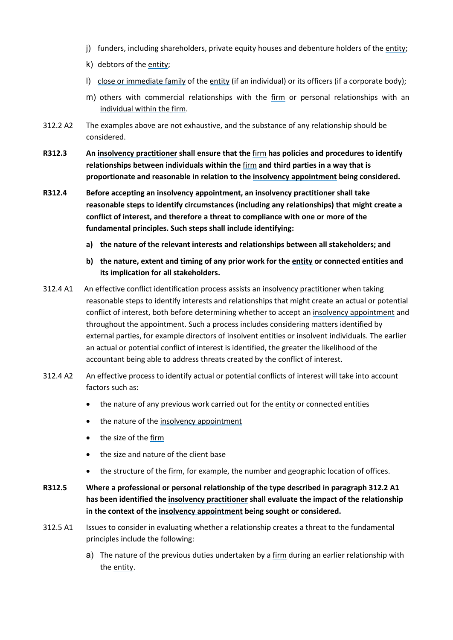- j) funders, including shareholders, private equity houses and debenture holders of the [entity;](#page-69-5)
- k) debtors of the [entity;](#page-69-5)
- l) [close or immediate family](#page-69-9) of the [entity](#page-69-5) (if an individual) or its officers (if a corporate body);
- m) others with commercial relationships with the [firm](#page-69-3) or personal relationships with an [individual within the](#page-69-8) [firm.](#page-69-3)
- 312.2 A2 The examples above are not exhaustive, and the substance of any relationship should be considered.
- **R312.3 An [insolvency practitioner](#page-69-1) shall ensure that the** [firm](#page-69-3) **has policies and procedures to identify relationships between individuals within the** [firm](#page-69-3) **and third parties in a way that is proportionate and reasonable in relation to the [insolvency appointment](#page-69-0) being considered.**
- **R312.4 Before accepting an [insolvency appointment,](#page-69-0) an [insolvency practitioner](#page-69-1) shall take reasonable steps to identify circumstances (including any relationships) that might create a conflict of interest, and therefore a threat to compliance with one or more of the fundamental principles. Such steps shall include identifying:** 
	- **a) the nature of the relevant interests and relationships between all stakeholders; and**
	- **b) the nature, extent and timing of any prior work for the [entity](#page-69-5) or connected entities and its implication for all stakeholders.**
- 312.4 A1 An effective conflict identification process assists a[n insolvency practitioner](#page-69-1) when taking reasonable steps to identify interests and relationships that might create an actual or potential conflict of interest, both before determining whether to accept an [insolvency appointment](#page-69-0) and throughout the appointment. Such a process includes considering matters identified by external parties, for example directors of insolvent entities or insolvent individuals. The earlier an actual or potential conflict of interest is identified, the greater the likelihood of the accountant being able to address threats created by the conflict of interest.
- 312.4 A2 An effective process to identify actual or potential conflicts of interest will take into account factors such as:
	- the nature of any previous work carried out for the [entity](#page-69-5) or connected entities
	- the nature of th[e insolvency appointment](#page-69-0)
	- the size of the [firm](#page-69-3)
	- the size and nature of the client base
	- the structure of the [firm,](#page-69-3) for example, the number and geographic location of offices.
- **R312.5 Where a professional or personal relationship of the type described in paragraph 312.2 A1 has been identified the [insolvency practitioner](#page-69-1) shall evaluate the impact of the relationship in the context of the [insolvency appointment](#page-69-0) being sought or considered.**
- 312.5 A1 Issues to consider in evaluating whether a relationship creates a threat to the fundamental principles include the following:
	- a) The nature of the previous duties undertaken by [a firm](#page-69-3) during an earlier relationship with the [entity.](#page-69-5)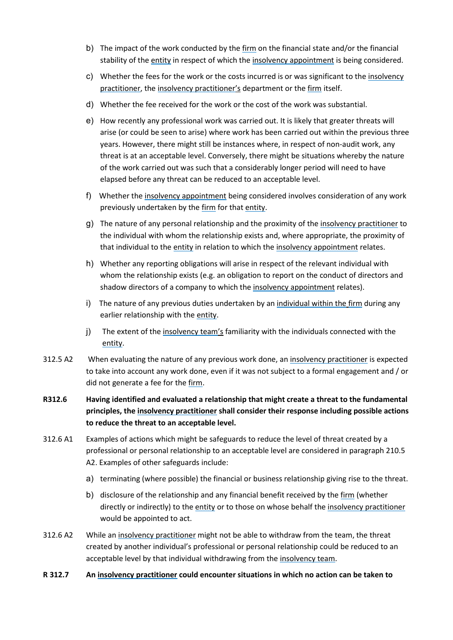- b) The impact of the work conducted by th[e firm](#page-69-3) on the financial state and/or the financial stability of th[e entity](#page-69-5) in respect of which the [insolvency appointment](#page-69-0) is being considered.
- c) Whether the fees for the work or the costs incurred is or was significant to the [insolvency](#page-69-1)  [practitioner,](#page-69-1) the [insolvency practitioner'](#page-69-1)s department or th[e firm](#page-69-3) itself.
- d) Whether the fee received for the work or the cost of the work was substantial.
- e) How recently any professional work was carried out. It is likely that greater threats will arise (or could be seen to arise) where work has been carried out within the previous three years. However, there might still be instances where, in respect of non-audit work, any threat is at an acceptable level. Conversely, there might be situations whereby the nature of the work carried out was such that a considerably longer period will need to have elapsed before any threat can be reduced to an acceptable level.
- f) Whether the [insolvency appointment](#page-69-0) being considered involves consideration of any work previously undertaken by the [firm](#page-69-3) for tha[t entity.](#page-69-5)
- g) The nature of any personal relationship and the proximity of the [insolvency practitioner](#page-69-1) to the individual with whom the relationship exists and, where appropriate, the proximity of that individual to the [entity](#page-69-5) in relation to which the [insolvency appointment](#page-69-0) relates.
- h) Whether any reporting obligations will arise in respect of the relevant individual with whom the relationship exists (e.g. an obligation to report on the conduct of directors and shadow directors of a company to which the [insolvency appointment](#page-69-0) relates).
- i) The nature of any previous duties undertaken by an [individual within the](#page-69-8) [firm](#page-69-3) during any earlier relationship with the [entity.](#page-69-5)
- j) The extent of the [insolvency team'](#page-69-4)s familiarity with the individuals connected with the [entity.](#page-69-5)
- 312.5 A2 When evaluating the nature of any previous work done, a[n insolvency practitioner](#page-69-1) is expected to take into account any work done, even if it was not subject to a formal engagement and / or did not generate a fee for the [firm.](#page-69-3)
- **R312.6 Having identified and evaluated a relationship that might create a threat to the fundamental principles, th[e insolvency practitioner](#page-69-1) shall consider their response including possible actions to reduce the threat to an acceptable level.**
- 312.6 A1 Examples of actions which might be safeguards to reduce the level of threat created by a professional or personal relationship to an acceptable level are considered in paragraph 210.5 A2. Examples of other safeguards include:
	- a) terminating (where possible) the financial or business relationship giving rise to the threat.
	- b) disclosure of the relationship and any financial benefit received by the [firm](#page-69-3) (whether directly or indirectly) to the [entity](#page-69-5) or to those on whose behalf the [insolvency practitioner](#page-69-1) would be appointed to act.
- 312.6 A2 While a[n insolvency practitioner](#page-69-1) might not be able to withdraw from the team, the threat created by another individual's professional or personal relationship could be reduced to an acceptable level by that individual withdrawing from the [insolvency team.](#page-69-4)
- **R 312.7 An [insolvency practitioner](#page-69-1) could encounter situations in which no action can be taken to**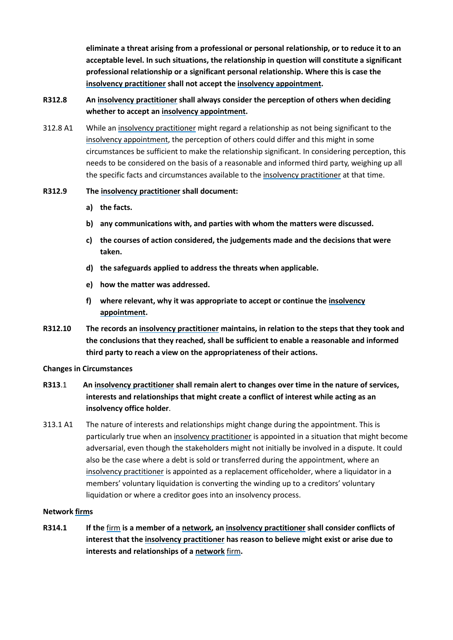**eliminate a threat arising from a professional or personal relationship, or to reduce it to an acceptable level. In such situations, the relationship in question will constitute a significant professional relationship or a significant personal relationship. Where this is case the [insolvency practitioner](#page-69-1) shall not accept the [insolvency appointment.](#page-69-0)** 

### **R312.8 An [insolvency practitioner](#page-69-1) shall always consider the perception of others when deciding whether to accept an [insolvency appointment.](#page-69-0)**

312.8 A1 While a[n insolvency practitioner](#page-69-1) might regard a relationship as not being significant to the [insolvency appointment,](#page-69-0) the perception of others could differ and this might in some circumstances be sufficient to make the relationship significant. In considering perception, this needs to be considered on the basis of a reasonable and informed third party, weighing up all the specific facts and circumstances available to the [insolvency practitioner](#page-69-1) at that time.

#### **R312.9 The [insolvency practitioner](#page-69-1) shall document:**

- **a) the facts.**
- **b) any communications with, and parties with whom the matters were discussed.**
- **c) the courses of action considered, the judgements made and the decisions that were taken.**
- **d) the safeguards applied to address the threats when applicable.**
- **e) how the matter was addressed.**
- **f) where relevant, why it was appropriate to accept or continue the [insolvency](#page-69-0)  [appointment.](#page-69-0)**
- **R312.10 The records an [insolvency practitioner](#page-69-1) maintains, in relation to the steps that they took and the conclusions that they reached, shall be sufficient to enable a reasonable and informed third party to reach a view on the appropriateness of their actions.**

#### **Changes in Circumstances**

- **R313**.1 **An [insolvency practitioner](#page-69-1) shall remain alert to changes over time in the nature of services, interests and relationships that might create a conflict of interest while acting as an insolvency office holder**.
- 313.1 A1 The nature of interests and relationships might change during the appointment. This is particularly true when a[n insolvency practitioner](#page-69-1) is appointed in a situation that might become adversarial, even though the stakeholders might not initially be involved in a dispute. It could also be the case where a debt is sold or transferred during the appointment, where an [insolvency practitioner](#page-69-1) is appointed as a replacement officeholder, where a liquidator in a members' voluntary liquidation is converting the winding up to a creditors' voluntary liquidation or where a creditor goes into an insolvency process.

#### **Network [firms](#page-69-3)**

**R314.1 If the** [firm](#page-69-3) **is a member of [a network,](#page-69-6) an [insolvency practitioner](#page-69-1) shall consider conflicts of interest that th[e insolvency practitioner](#page-69-1) has reason to believe might exist or arise due to interests and relationships of a [network](#page-69-6)** [firm](#page-69-3)**.**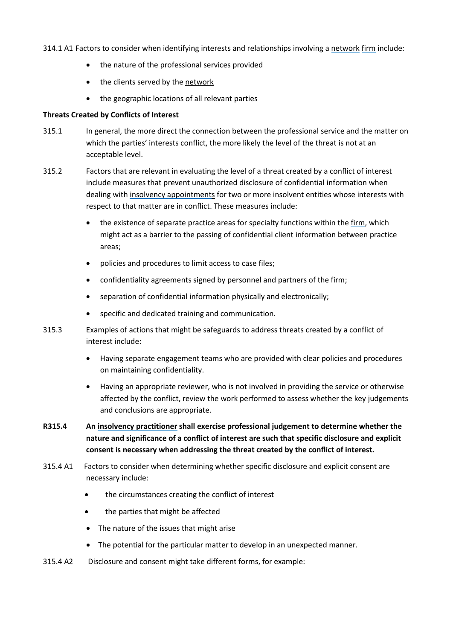- 314.1 A1 Factors to consider when identifying interests and relationships involving [a network](#page-69-6) [firm](#page-69-3) include:
	- the nature of the professional services provided
	- the clients served by the network
	- the geographic locations of all relevant parties

#### **Threats Created by Conflicts of Interest**

- 315.1 In general, the more direct the connection between the professional service and the matter on which the parties' interests conflict, the more likely the level of the threat is not at an acceptable level.
- 315.2 Factors that are relevant in evaluating the level of a threat created by a conflict of interest include measures that prevent unauthorized disclosure of confidential information when dealing with [insolvency appointments](#page-69-0) for two or more insolvent entities whose interests with respect to that matter are in conflict. These measures include:
	- the existence of separate practice areas for specialty functions within th[e firm,](#page-69-3) which might act as a barrier to the passing of confidential client information between practice areas;
	- policies and procedures to limit access to case files;
	- confidentiality agreements signed by personnel and partners of the [firm;](#page-69-3)
	- separation of confidential information physically and electronically;
	- specific and dedicated training and communication.
- 315.3 Examples of actions that might be safeguards to address threats created by a conflict of interest include:
	- Having separate engagement teams who are provided with clear policies and procedures on maintaining confidentiality.
	- Having an appropriate reviewer, who is not involved in providing the service or otherwise affected by the conflict, review the work performed to assess whether the key judgements and conclusions are appropriate.
- **R315.4 An [insolvency practitioner](#page-69-1) shall exercise professional judgement to determine whether the nature and significance of a conflict of interest are such that specific disclosure and explicit consent is necessary when addressing the threat created by the conflict of interest.**
- 315.4 A1 Factors to consider when determining whether specific disclosure and explicit consent are necessary include:
	- the circumstances creating the conflict of interest
	- the parties that might be affected
	- The nature of the issues that might arise
	- The potential for the particular matter to develop in an unexpected manner.
- 315.4 A2 Disclosure and consent might take different forms, for example: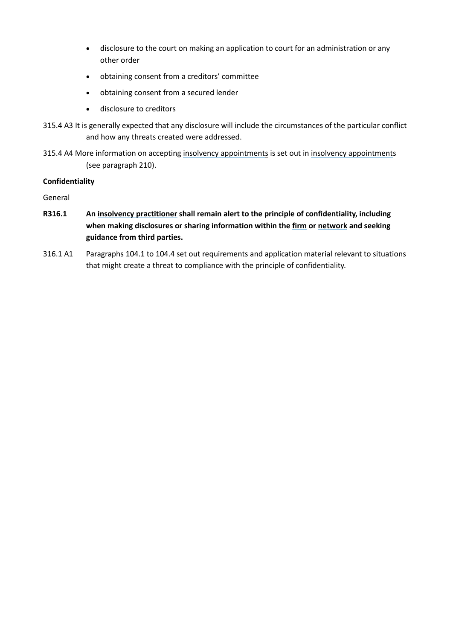- disclosure to the court on making an application to court for an administration or any other order
- obtaining consent from a creditors' committee
- obtaining consent from a secured lender
- disclosure to creditors
- 315.4 A3 It is generally expected that any disclosure will include the circumstances of the particular conflict and how any threats created were addressed.
- 315.4 A4 More information on accepting [insolvency appointments](#page-69-0) is set out in insolvency appointments (see paragraph 210).

### **Confidentiality**

General

- **R316.1 An [insolvency practitioner](#page-69-1) shall remain alert to the principle of confidentiality, including when making disclosures or sharing information within th[e firm](#page-69-3) or [network](#page-69-6) and seeking guidance from third parties.**
- 316.1 A1 Paragraphs 104.1 to 104.4 set out requirements and application material relevant to situations that might create a threat to compliance with the principle of confidentiality.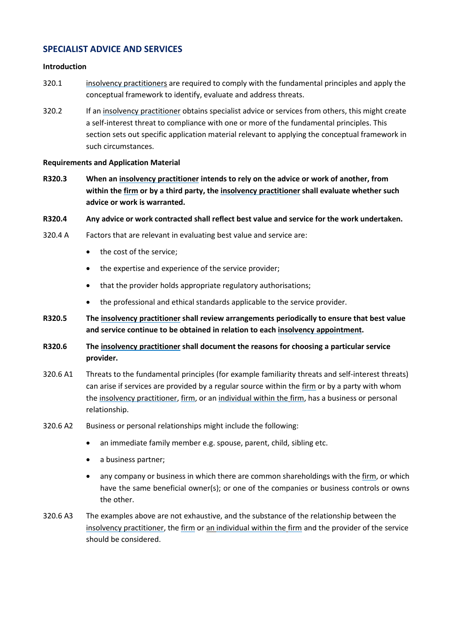### **SPECIALIST ADVICE AND SERVICES**

#### **Introduction**

- 320.1 [insolvency practitioners](#page-69-1) are required to comply with the fundamental principles and apply the conceptual framework to identify, evaluate and address threats.
- 320.2 If an [insolvency practitioner](#page-69-1) obtains specialist advice or services from others, this might create a self-interest threat to compliance with one or more of the fundamental principles. This section sets out specific application material relevant to applying the conceptual framework in such circumstances.

#### **Requirements and Application Material**

**R320.3 When an [insolvency practitioner](#page-69-1) intends to rely on the advice or work of another, from within the [firm](#page-69-3) or by a third party, the [insolvency practitioner](#page-69-1) shall evaluate whether such advice or work is warranted.**

#### **R320.4 Any advice or work contracted shall reflect best value and service for the work undertaken.**

- 320.4 A Factors that are relevant in evaluating best value and service are:
	- the cost of the service;
	- the expertise and experience of the service provider;
	- that the provider holds appropriate regulatory authorisations;
	- the professional and ethical standards applicable to the service provider.
- **R320.5 The [insolvency practitioner](#page-69-1) shall review arrangements periodically to ensure that best value and service continue to be obtained in relation to eac[h insolvency appointment.](#page-69-0)**
- **R320.6 The [insolvency practitioner](#page-69-1) shall document the reasons for choosing a particular service provider.**
- 320.6 A1 Threats to the fundamental principles (for example familiarity threats and self-interest threats) can arise if services are provided by a regular source within the [firm](#page-69-3) or by a party with whom the [insolvency practitioner,](#page-69-1) [firm,](#page-69-3) or a[n individual within the](#page-69-8) [firm,](#page-69-3) has a business or personal relationship.
- 320.6 A2 Business or personal relationships might include the following:
	- an immediate family member e.g. spouse, parent, child, sibling etc.
	- a business partner;
	- any company or business in which there are common shareholdings with the [firm,](#page-69-3) or which have the same beneficial owner(s); or one of the companies or business controls or owns the other.
- 320.6 A3 The examples above are not exhaustive, and the substance of the relationship between the [insolvency practitioner,](#page-69-1) the [firm](#page-69-3) or an [individual within the](#page-69-8) [firm](#page-69-3) and the provider of the service should be considered.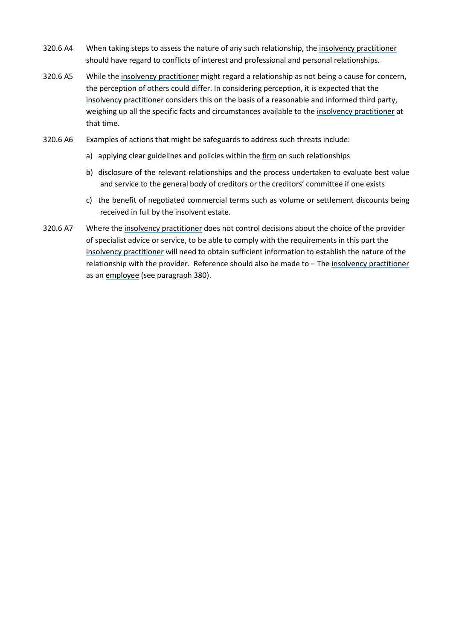- 320.6 A4 When taking steps to assess the nature of any such relationship, the [insolvency practitioner](#page-69-1) should have regard to conflicts of interest and professional and personal relationships.
- 320.6 A5 While the [insolvency practitioner](#page-69-1) might regard a relationship as not being a cause for concern, the perception of others could differ. In considering perception, it is expected that the [insolvency practitioner](#page-69-1) considers this on the basis of a reasonable and informed third party, weighing up all the specific facts and circumstances available to the [insolvency practitioner](#page-69-1) at that time.
- 320.6 A6 Examples of actions that might be safeguards to address such threats include:
	- a) applying clear guidelines and policies within the [firm](#page-69-3) on such relationships
	- b) disclosure of the relevant relationships and the process undertaken to evaluate best value and service to the general body of creditors or the creditors' committee if one exists
	- c) the benefit of negotiated commercial terms such as volume or settlement discounts being received in full by the insolvent estate.
- 320.6 A7 Where th[e insolvency practitioner](#page-69-1) does not control decisions about the choice of the provider of specialist advice or service, to be able to comply with the requirements in this part the [insolvency practitioner](#page-69-1) will need to obtain sufficient information to establish the nature of the relationship with the provider. Reference should also be made to – The [insolvency practitioner](#page-69-1) as an [employee](#page-69-7) (see paragraph 380).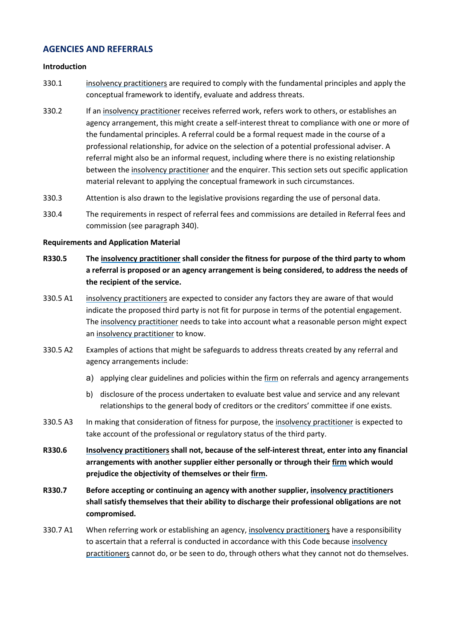### **AGENCIES AND REFERRALS**

#### **Introduction**

- 330.1 [insolvency practitioners](#page-69-1) are required to comply with the fundamental principles and apply the conceptual framework to identify, evaluate and address threats.
- 330.2 If an [insolvency practitioner](#page-69-1) receives referred work, refers work to others, or establishes an agency arrangement, this might create a self-interest threat to compliance with one or more of the fundamental principles. A referral could be a formal request made in the course of a professional relationship, for advice on the selection of a potential professional adviser. A referral might also be an informal request, including where there is no existing relationship between the [insolvency practitioner](#page-69-1) and the enquirer. This section sets out specific application material relevant to applying the conceptual framework in such circumstances.
- 330.3 Attention is also drawn to the legislative provisions regarding the use of personal data.
- 330.4 The requirements in respect of referral fees and commissions are detailed in Referral fees and commission (see paragraph 340).

#### **Requirements and Application Material**

- **R330.5 The [insolvency practitioner](#page-69-1) shall consider the fitness for purpose of the third party to whom a referral is proposed or an agency arrangement is being considered, to address the needs of the recipient of the service.**
- 330.5 A1 [insolvency practitioners](#page-69-1) are expected to consider any factors they are aware of that would indicate the proposed third party is not fit for purpose in terms of the potential engagement. The [insolvency practitioner](#page-69-1) needs to take into account what a reasonable person might expect an [insolvency practitioner](#page-69-1) to know.
- 330.5 A2 Examples of actions that might be safeguards to address threats created by any referral and agency arrangements include:
	- a) applying clear guidelines and policies within th[e firm](#page-69-3) on referrals and agency arrangements
	- b) disclosure of the process undertaken to evaluate best value and service and any relevant relationships to the general body of creditors or the creditors' committee if one exists.
- 330.5 A3 In making that consideration of fitness for purpose, the [insolvency practitioner](#page-69-1) is expected to take account of the professional or regulatory status of the third party.
- **R330.6 [Insolvency practitioners](#page-69-1) shall not, because of the self-interest threat, enter into any financial arrangements with another supplier either personally or through their [firm](#page-69-3) which would prejudice the objectivity of themselves or their [firm.](#page-69-3)**
- **R330.7 Before accepting or continuing an agency with another supplier, [insolvency practitioners](#page-69-1) shall satisfy themselves that their ability to discharge their professional obligations are not compromised.**
- 330.7 A1 When referring work or establishing an agency, [insolvency practitioners](#page-69-1) have a responsibility to ascertain that a referral is conducted in accordance with this Code because insolvency [practitioners](#page-69-1) cannot do, or be seen to do, through others what they cannot not do themselves.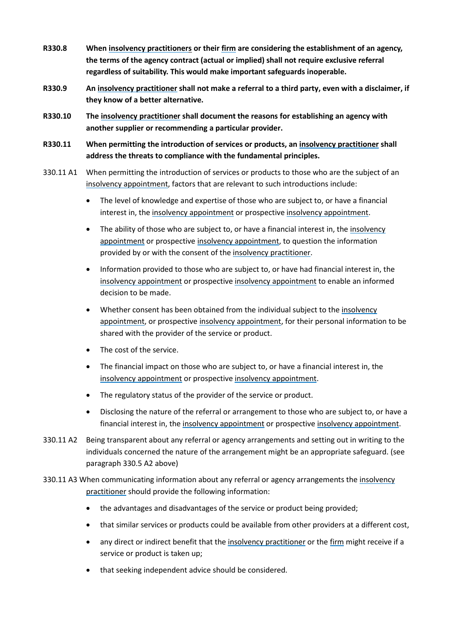- **R330.8 When [insolvency practitioners](#page-69-1) or their [firm](#page-69-3) are considering the establishment of an agency, the terms of the agency contract (actual or implied) shall not require exclusive referral regardless of suitability. This would make important safeguards inoperable.**
- **R330.9 An [insolvency practitioner](#page-69-1) shall not make a referral to a third party, even with a disclaimer, if they know of a better alternative.**
- **R330.10 The [insolvency practitioner](#page-69-1) shall document the reasons for establishing an agency with another supplier or recommending a particular provider.**
- **R330.11 When permitting the introduction of services or products, an [insolvency practitioner](#page-69-1) shall address the threats to compliance with the fundamental principles.**
- 330.11 A1 When permitting the introduction of services or products to those who are the subject of an [insolvency appointment,](#page-69-0) factors that are relevant to such introductions include:
	- The level of knowledge and expertise of those who are subject to, or have a financial interest in, the [insolvency appointment](#page-69-0) or prospective [insolvency appointment.](#page-69-0)
	- The ability of those who are subject to, or have a financial interest in, the [insolvency](#page-69-0)  [appointment](#page-69-0) or prospectiv[e insolvency appointment,](#page-69-0) to question the information provided by or with the consent of the [insolvency practitioner.](#page-69-1)
	- Information provided to those who are subject to, or have had financial interest in, the [insolvency appointment](#page-69-0) or prospective [insolvency appointment](#page-69-0) to enable an informed decision to be made.
	- Whether consent has been obtained from the individual subject to the [insolvency](#page-69-0)  [appointment,](#page-69-0) or prospective [insolvency appointment,](#page-69-0) for their personal information to be shared with the provider of the service or product.
	- The cost of the service.
	- The financial impact on those who are subject to, or have a financial interest in, the [insolvency appointment](#page-69-0) or prospective [insolvency appointment.](#page-69-0)
	- The regulatory status of the provider of the service or product.
	- Disclosing the nature of the referral or arrangement to those who are subject to, or have a financial interest in, the [insolvency appointment](#page-69-0) or prospective [insolvency appointment.](#page-69-0)
- 330.11 A2 Being transparent about any referral or agency arrangements and setting out in writing to the individuals concerned the nature of the arrangement might be an appropriate safeguard. (see paragraph 330.5 A2 above)
- 330.11 A3 When communicating information about any referral or agency arrangements the [insolvency](#page-69-1)  [practitioner](#page-69-1) should provide the following information:
	- the advantages and disadvantages of the service or product being provided;
	- that similar services or products could be available from other providers at a different cost,
	- any direct or indirect benefit that the [insolvency practitioner](#page-69-1) or the [firm](#page-69-3) might receive if a service or product is taken up;
	- that seeking independent advice should be considered.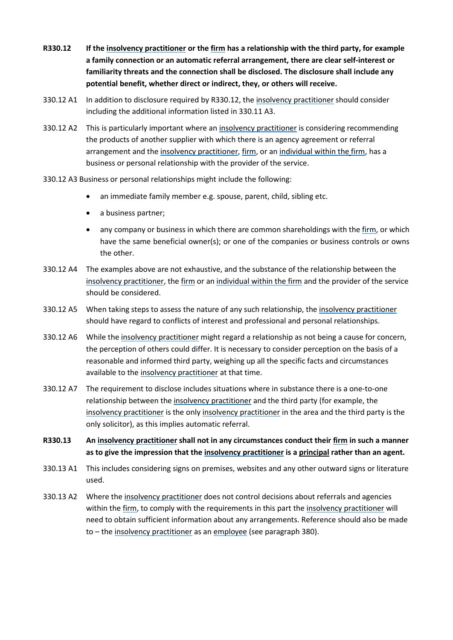- **R330.12 If the [insolvency practitioner](#page-69-1) or the [firm](#page-69-3) has a relationship with the third party, for example a family connection or an automatic referral arrangement, there are clear self-interest or familiarity threats and the connection shall be disclosed. The disclosure shall include any potential benefit, whether direct or indirect, they, or others will receive.**
- 330.12 A1 In addition to disclosure required by R330.12, the [insolvency practitioner](#page-69-1) should consider including the additional information listed in 330.11 A3.
- 330.12 A2 This is particularly important where an [insolvency practitioner](#page-69-1) is considering recommending the products of another supplier with which there is an agency agreement or referral arrangement and the [insolvency practitioner,](#page-69-1) [firm,](#page-69-3) or a[n individual within the](#page-69-8) [firm,](#page-69-3) has a business or personal relationship with the provider of the service.
- 330.12 A3 Business or personal relationships might include the following:
	- an immediate family member e.g. spouse, parent, child, sibling etc.
	- a business partner;
	- any company or business in which there are common shareholdings with the [firm,](#page-69-3) or which have the same beneficial owner(s); or one of the companies or business controls or owns the other.
- 330.12 A4 The examples above are not exhaustive, and the substance of the relationship between the [insolvency practitioner,](#page-69-1) the [firm](#page-69-3) or an [individual within the](#page-69-8) [firm](#page-69-3) and the provider of the service should be considered.
- 330.12 A5 When taking steps to assess the nature of any such relationship, the [insolvency practitioner](#page-69-1) should have regard to conflicts of interest and professional and personal relationships.
- 330.12 A6 While the [insolvency practitioner](#page-69-1) might regard a relationship as not being a cause for concern, the perception of others could differ. It is necessary to consider perception on the basis of a reasonable and informed third party, weighing up all the specific facts and circumstances available to the [insolvency practitioner](#page-69-1) at that time.
- 330.12 A7 The requirement to disclose includes situations where in substance there is a one-to-one relationship between th[e insolvency practitioner](#page-69-1) and the third party (for example, the [insolvency practitioner](#page-69-1) is the only [insolvency practitioner](#page-69-1) in the area and the third party is the only solicitor), as this implies automatic referral.
- **R330.13 An [insolvency practitioner](#page-69-1) shall not in any circumstances conduct their [firm](#page-69-3) in such a manner as to give the impression that the [insolvency practitioner](#page-69-1) is a principal rather than an agent.**
- 330.13 A1 This includes considering signs on premises, websites and any other outward signs or literature used.
- 330.13 A2 Where th[e insolvency practitioner](#page-69-1) does not control decisions about referrals and agencies within the [firm,](#page-69-3) to comply with the requirements in this part the [insolvency practitioner](#page-69-1) will need to obtain sufficient information about any arrangements. Reference should also be made to – the [insolvency practitioner](#page-69-1) as an [employee](#page-69-7) (see paragraph 380).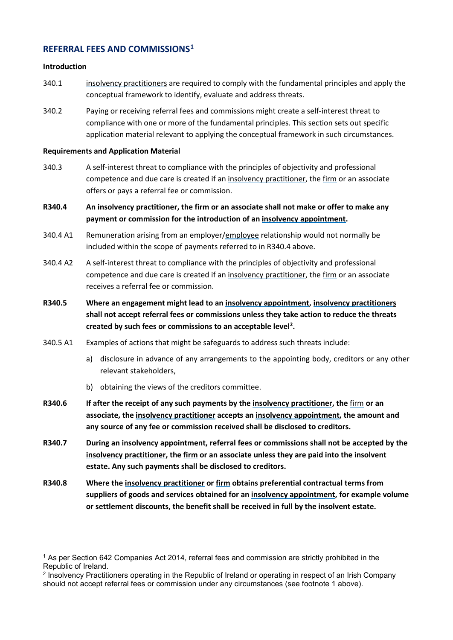### **REFERRAL FEES AND COMMISSIONS[1](#page-38-0)**

#### **Introduction**

- 340.1 [insolvency practitioners](#page-69-1) are required to comply with the fundamental principles and apply the conceptual framework to identify, evaluate and address threats.
- 340.2 Paying or receiving referral fees and commissions might create a self-interest threat to compliance with one or more of the fundamental principles. This section sets out specific application material relevant to applying the conceptual framework in such circumstances.

#### **Requirements and Application Material**

- 340.3 A self-interest threat to compliance with the principles of objectivity and professional competence and due care is created if an [insolvency practitioner,](#page-69-1) th[e firm](#page-69-3) or an associate offers or pays a referral fee or commission.
- **R340.4 An [insolvency practitioner,](#page-69-1) the [firm](#page-69-3) or an associate shall not make or offer to make any payment or commission for the introduction of a[n insolvency appointment.](#page-69-0)**
- 340.4 A1 Remuneration arising from an employer[/employee](#page-69-7) relationship would not normally be included within the scope of payments referred to in R340.4 above.
- 340.4 A2 A self-interest threat to compliance with the principles of objectivity and professional competence and due care is created if an [insolvency practitioner,](#page-69-1) the [firm](#page-69-3) or an associate receives a referral fee or commission.
- **R340.5 Where an engagement might lead to a[n insolvency appointment,](#page-69-0) [insolvency practitioners](#page-69-1) shall not accept referral fees or commissions unless they take action to reduce the threats created by such fees or commissions to an acceptable level[2](#page-38-1) .**
- 340.5 A1 Examples of actions that might be safeguards to address such threats include:
	- a) disclosure in advance of any arrangements to the appointing body, creditors or any other relevant stakeholders,
	- b) obtaining the views of the creditors committee.
- **R340.6 If after the receipt of any such payments by the [insolvency practitioner,](#page-69-1) the** [firm](#page-69-3) **or an associate, th[e insolvency practitioner](#page-69-1) accepts an [insolvency appointment,](#page-69-0) the amount and any source of any fee or commission received shall be disclosed to creditors.**
- **R340.7 During an [insolvency appointment,](#page-69-0) referral fees or commissions shall not be accepted by the [insolvency practitioner,](#page-69-1) the [firm](#page-69-3) or an associate unless they are paid into the insolvent estate. Any such payments shall be disclosed to creditors.**
- **R340.8 Where the [insolvency practitioner](#page-69-1) or [firm](#page-69-3) obtains preferential contractual terms from suppliers of goods and services obtained for a[n insolvency appointment,](#page-69-0) for example volume or settlement discounts, the benefit shall be received in full by the insolvent estate.**

<span id="page-38-0"></span><sup>1</sup> As per Section 642 Companies Act 2014, referral fees and commission are strictly prohibited in the Republic of Ireland.

<span id="page-38-1"></span><sup>2</sup> Insolvency Practitioners operating in the Republic of Ireland or operating in respect of an Irish Company should not accept referral fees or commission under any circumstances (see footnote 1 above).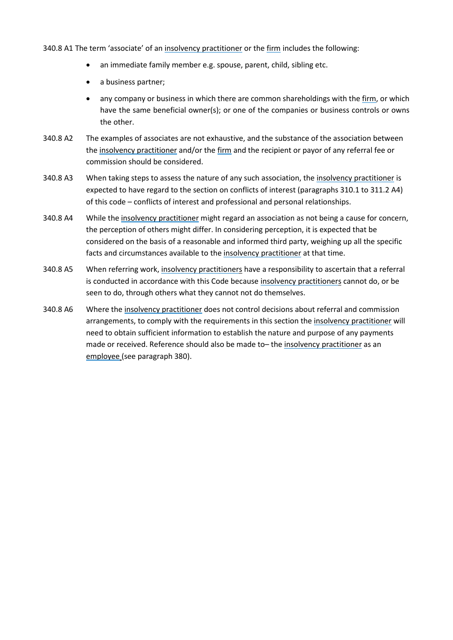340.8 A1 The term 'associate' of a[n insolvency practitioner](#page-69-1) or th[e firm](#page-69-3) includes the following:

- an immediate family member e.g. spouse, parent, child, sibling etc.
- a business partner;
- any company or business in which there are common shareholdings with the [firm,](#page-69-3) or which have the same beneficial owner(s); or one of the companies or business controls or owns the other.
- 340.8 A2 The examples of associates are not exhaustive, and the substance of the association between the [insolvency practitioner](#page-69-1) and/or the [firm](#page-69-3) and the recipient or payor of any referral fee or commission should be considered.
- 340.8 A3 When taking steps to assess the nature of any such association, the [insolvency practitioner](#page-69-1) is expected to have regard to the section on conflicts of interest (paragraphs 310.1 to 311.2 A4) of this code – conflicts of interest and professional and personal relationships.
- 340.8 A4 While the [insolvency practitioner](#page-69-1) might regard an association as not being a cause for concern, the perception of others might differ. In considering perception, it is expected that be considered on the basis of a reasonable and informed third party, weighing up all the specific facts and circumstances available to the [insolvency practitioner](#page-69-1) at that time.
- 340.8 A5 When referring work, [insolvency practitioners](#page-69-1) have a responsibility to ascertain that a referral is conducted in accordance with this Code because [insolvency practitioners](#page-69-1) cannot do, or be seen to do, through others what they cannot not do themselves.
- 340.8 A6 Where th[e insolvency practitioner](#page-69-1) does not control decisions about referral and commission arrangements, to comply with the requirements in this section the [insolvency practitioner](#page-69-1) will need to obtain sufficient information to establish the nature and purpose of any payments made or received. Reference should also be made to– the [insolvency practitioner](#page-69-1) as an [employee \(](#page-69-7)see paragraph 380).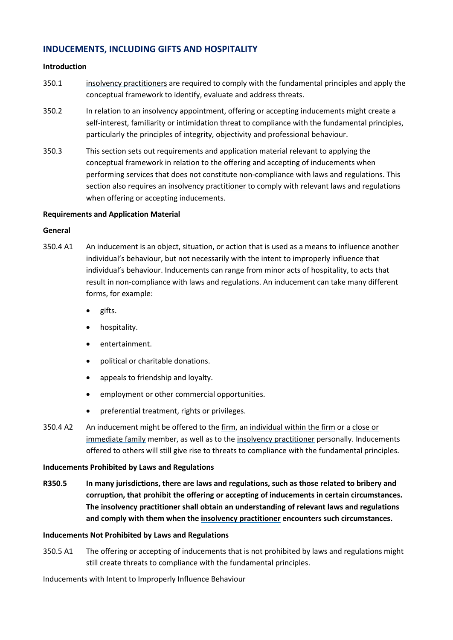### **INDUCEMENTS, INCLUDING GIFTS AND HOSPITALITY**

#### **Introduction**

- 350.1 [insolvency practitioners](#page-69-1) are required to comply with the fundamental principles and apply the conceptual framework to identify, evaluate and address threats.
- 350.2 In relation to an [insolvency appointment,](#page-69-0) offering or accepting inducements might create a self-interest, familiarity or intimidation threat to compliance with the fundamental principles, particularly the principles of integrity, objectivity and professional behaviour.
- 350.3 This section sets out requirements and application material relevant to applying the conceptual framework in relation to the offering and accepting of inducements when performing services that does not constitute non-compliance with laws and regulations. This section also requires a[n insolvency practitioner](#page-69-1) to comply with relevant laws and regulations when offering or accepting inducements.

#### **Requirements and Application Material**

#### **General**

- 350.4 A1 An inducement is an object, situation, or action that is used as a means to influence another individual's behaviour, but not necessarily with the intent to improperly influence that individual's behaviour. Inducements can range from minor acts of hospitality, to acts that result in non-compliance with laws and regulations. An inducement can take many different forms, for example:
	- gifts.
	- hospitality.
	- entertainment.
	- political or charitable donations.
	- appeals to friendship and loyalty.
	- employment or other commercial opportunities.
	- preferential treatment, rights or privileges.
- 350.4 A2 An inducement might be offered to the [firm,](#page-69-3) a[n individual within the](#page-69-8) [firm](#page-69-3) or a close or [immediate family](#page-69-9) member, as well as to the [insolvency practitioner](#page-69-1) personally. Inducements offered to others will still give rise to threats to compliance with the fundamental principles.

#### **Inducements Prohibited by Laws and Regulations**

**R350.5 In many jurisdictions, there are laws and regulations, such as those related to bribery and corruption, that prohibit the offering or accepting of inducements in certain circumstances. The [insolvency practitioner](#page-69-1) shall obtain an understanding of relevant laws and regulations and comply with them when the [insolvency practitioner](#page-69-1) encounters such circumstances.**

#### **Inducements Not Prohibited by Laws and Regulations**

350.5 A1 The offering or accepting of inducements that is not prohibited by laws and regulations might still create threats to compliance with the fundamental principles.

Inducements with Intent to Improperly Influence Behaviour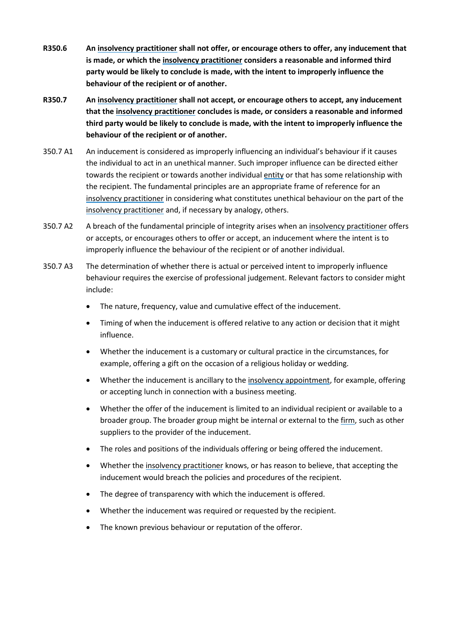- **R350.6 An [insolvency practitioner](#page-69-1) shall not offer, or encourage others to offer, any inducement that is made, or which the [insolvency practitioner](#page-69-1) considers a reasonable and informed third party would be likely to conclude is made, with the intent to improperly influence the behaviour of the recipient or of another.**
- **R350.7 An [insolvency practitioner](#page-69-1) shall not accept, or encourage others to accept, any inducement that th[e insolvency practitioner](#page-69-1) concludes is made, or considers a reasonable and informed third party would be likely to conclude is made, with the intent to improperly influence the behaviour of the recipient or of another.**
- 350.7 A1 An inducement is considered as improperly influencing an individual's behaviour if it causes the individual to act in an unethical manner. Such improper influence can be directed either towards the recipient or towards another individual [entity](#page-69-5) or that has some relationship with the recipient. The fundamental principles are an appropriate frame of reference for an [insolvency practitioner](#page-69-1) in considering what constitutes unethical behaviour on the part of the [insolvency practitioner](#page-69-1) and, if necessary by analogy, others.
- 350.7 A2 A breach of the fundamental principle of integrity arises when an [insolvency practitioner](#page-69-1) offers or accepts, or encourages others to offer or accept, an inducement where the intent is to improperly influence the behaviour of the recipient or of another individual.
- 350.7 A3 The determination of whether there is actual or perceived intent to improperly influence behaviour requires the exercise of professional judgement. Relevant factors to consider might include:
	- The nature, frequency, value and cumulative effect of the inducement.
	- Timing of when the inducement is offered relative to any action or decision that it might influence.
	- Whether the inducement is a customary or cultural practice in the circumstances, for example, offering a gift on the occasion of a religious holiday or wedding.
	- Whether the inducement is ancillary to the [insolvency appointment,](#page-69-0) for example, offering or accepting lunch in connection with a business meeting.
	- Whether the offer of the inducement is limited to an individual recipient or available to a broader group. The broader group might be internal or external to the [firm,](#page-69-3) such as other suppliers to the provider of the inducement.
	- The roles and positions of the individuals offering or being offered the inducement.
	- Whether th[e insolvency practitioner](#page-69-1) knows, or has reason to believe, that accepting the inducement would breach the policies and procedures of the recipient.
	- The degree of transparency with which the inducement is offered.
	- Whether the inducement was required or requested by the recipient.
	- The known previous behaviour or reputation of the offeror.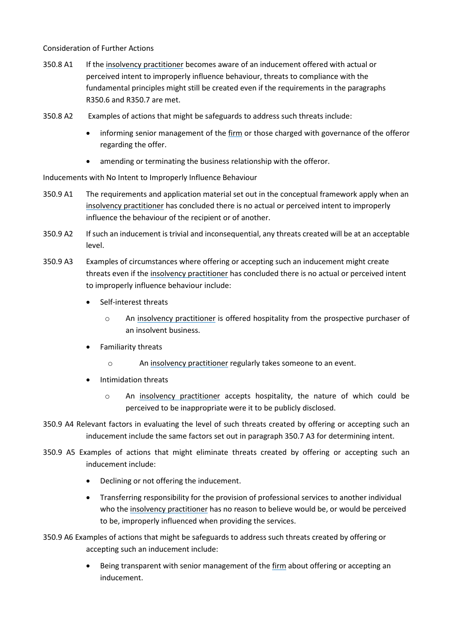Consideration of Further Actions

- 350.8 A1 If the [insolvency practitioner](#page-69-1) becomes aware of an inducement offered with actual or perceived intent to improperly influence behaviour, threats to compliance with the fundamental principles might still be created even if the requirements in the paragraphs R350.6 and R350.7 are met.
- 350.8 A2 Examples of actions that might be safeguards to address such threats include:
	- informing senior management of the [firm](#page-69-3) or those charged with governance of the offeror regarding the offer.
	- amending or terminating the business relationship with the offeror.

Inducements with No Intent to Improperly Influence Behaviour

- 350.9 A1 The requirements and application material set out in the conceptual framework apply when an [insolvency practitioner](#page-69-1) has concluded there is no actual or perceived intent to improperly influence the behaviour of the recipient or of another.
- 350.9 A2 If such an inducement is trivial and inconsequential, any threats created will be at an acceptable level.
- 350.9 A3 Examples of circumstances where offering or accepting such an inducement might create threats even if the [insolvency practitioner](#page-69-1) has concluded there is no actual or perceived intent to improperly influence behaviour include:
	- Self-interest threats
		- o An [insolvency practitioner](#page-69-1) is offered hospitality from the prospective purchaser of an insolvent business.
	- Familiarity threats
		- o An [insolvency practitioner](#page-69-1) regularly takes someone to an event.
	- Intimidation threats
		- o An [insolvency practitioner](#page-69-1) accepts hospitality, the nature of which could be perceived to be inappropriate were it to be publicly disclosed.
- 350.9 A4 Relevant factors in evaluating the level of such threats created by offering or accepting such an inducement include the same factors set out in paragraph 350.7 A3 for determining intent.
- 350.9 A5 Examples of actions that might eliminate threats created by offering or accepting such an inducement include:
	- Declining or not offering the inducement.
	- Transferring responsibility for the provision of professional services to another individual who the [insolvency practitioner](#page-69-1) has no reason to believe would be, or would be perceived to be, improperly influenced when providing the services.

350.9 A6 Examples of actions that might be safeguards to address such threats created by offering or accepting such an inducement include:

> Being transparent with senior management of the [firm](#page-69-3) about offering or accepting an inducement.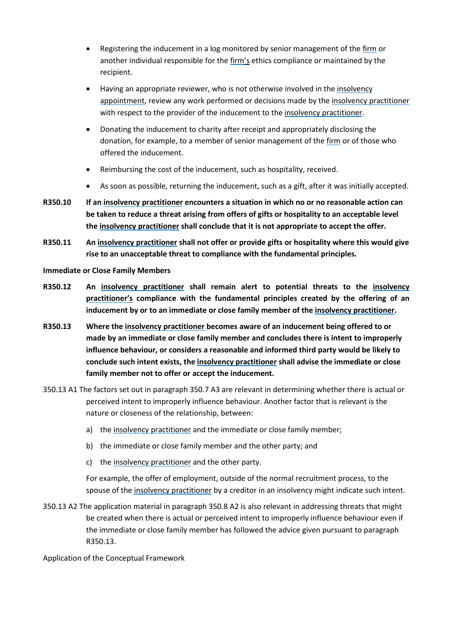- Registering the inducement in a log monitored by senior management of the [firm](#page-69-3) or another individual responsible for the [firm'](#page-69-3)s ethics compliance or maintained by the recipient.
- Having an appropriate reviewer, who is not otherwise involved in the [insolvency](#page-69-0)  [appointment,](#page-69-0) review any work performed or decisions made by the [insolvency practitioner](#page-69-1) with respect to the provider of the inducement to the [insolvency practitioner.](#page-69-1)
- Donating the inducement to charity after receipt and appropriately disclosing the donation, for example, to a member of senior management of th[e firm](#page-69-3) or of those who offered the inducement.
- Reimbursing the cost of the inducement, such as hospitality, received.
- As soon as possible, returning the inducement, such as a gift, after it was initially accepted.
- **R350.10 If an [insolvency practitioner](#page-69-1) encounters a situation in which no or no reasonable action can be taken to reduce a threat arising from offers of gifts or hospitality to an acceptable level the [insolvency practitioner](#page-69-1) shall conclude that it is not appropriate to accept the offer.**
- **R350.11 An [insolvency practitioner](#page-69-1) shall not offer or provide gifts or hospitality where this would give rise to an unacceptable threat to compliance with the fundamental principles.**

**Immediate or Close Family Members**

- **R350.12 An [insolvency practitioner](#page-69-1) shall remain alert to potential threats to the [insolvency](#page-69-1)  [practitioner'](#page-69-1)s compliance with the fundamental principles created by the offering of an inducement by or to an immediate or close family member of the [insolvency practitioner.](#page-69-1)**
- **R350.13 Where the [insolvency practitioner](#page-69-1) becomes aware of an inducement being offered to or made by an immediate or close family member and concludes there is intent to improperly influence behaviour, or considers a reasonable and informed third party would be likely to conclude such intent exists, the [insolvency practitioner](#page-69-1) shall advise the immediate or close family member not to offer or accept the inducement.**
- 350.13 A1 The factors set out in paragraph 350.7 A3 are relevant in determining whether there is actual or perceived intent to improperly influence behaviour. Another factor that is relevant is the nature or closeness of the relationship, between:
	- a) the insolvency [practitioner](#page-69-1) and the immediate or close family member;
	- b) the immediate or close family member and the other party; and
	- c) the [insolvency practitioner](#page-69-1) and the other party.

For example, the offer of employment, outside of the normal recruitment process, to the spouse of the [insolvency practitioner](#page-69-1) by a creditor in an insolvency might indicate such intent.

350.13 A2 The application material in paragraph 350.8 A2 is also relevant in addressing threats that might be created when there is actual or perceived intent to improperly influence behaviour even if the immediate or close family member has followed the advice given pursuant to paragraph R350.13.

Application of the Conceptual Framework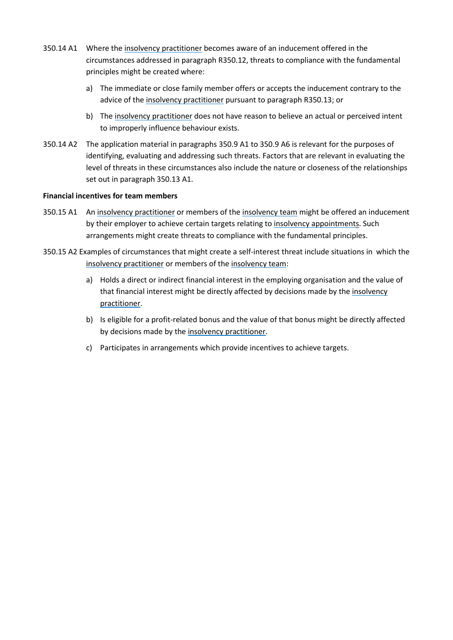- 350.14 A1 Where th[e insolvency practitioner](#page-69-1) becomes aware of an inducement offered in the circumstances addressed in paragraph R350.12, threats to compliance with the fundamental principles might be created where:
	- a) The immediate or close family member offers or accepts the inducement contrary to the advice of the [insolvency practitioner](#page-69-1) pursuant to paragraph R350.13; or
	- b) The [insolvency practitioner](#page-69-1) does not have reason to believe an actual or perceived intent to improperly influence behaviour exists.
- 350.14 A2 The application material in paragraphs 350.9 A1 to 350.9 A6 is relevant for the purposes of identifying, evaluating and addressing such threats. Factors that are relevant in evaluating the level of threats in these circumstances also include the nature or closeness of the relationships set out in paragraph 350.13 A1.

#### **Financial incentives for team members**

- 350.15 A1 An [insolvency practitioner](#page-69-1) or members of th[e insolvency team](#page-69-4) might be offered an inducement by their employer to achieve certain targets relating to [insolvency appointments](#page-69-0). Such arrangements might create threats to compliance with the fundamental principles.
- 350.15 A2 Examples of circumstances that might create a self-interest threat include situations in which the [insolvency practitioner](#page-69-1) or members of the [insolvency team:](#page-69-4)
	- a) Holds a direct or indirect financial interest in the employing organisation and the value of that financial interest might be directly affected by decisions made by the [insolvency](#page-69-1)  [practitioner.](#page-69-1)
	- b) Is eligible for a profit-related bonus and the value of that bonus might be directly affected by decisions made by the [insolvency practitioner.](#page-69-1)
	- c) Participates in arrangements which provide incentives to achieve targets.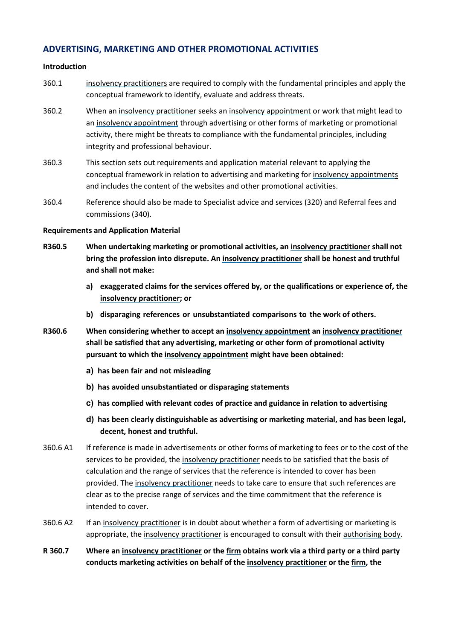### **ADVERTISING, MARKETING AND OTHER PROMOTIONAL ACTIVITIES**

#### **Introduction**

- 360.1 [insolvency practitioners](#page-69-1) are required to comply with the fundamental principles and apply the conceptual framework to identify, evaluate and address threats.
- 360.2 When an [insolvency practitioner](#page-69-1) seeks an [insolvency appointment](#page-69-0) or work that might lead to an [insolvency appointment](#page-69-0) through advertising or other forms of marketing or promotional activity, there might be threats to compliance with the fundamental principles, including integrity and professional behaviour.
- 360.3 This section sets out requirements and application material relevant to applying the conceptual framework in relation to advertising and marketing fo[r insolvency appointments](#page-69-0) and includes the content of the websites and other promotional activities.
- 360.4 Reference should also be made to Specialist advice and services (320) and Referral fees and commissions (340).

#### **Requirements and Application Material**

- **R360.5 When undertaking marketing or promotional activities, an [insolvency practitioner](#page-69-1) shall not bring the profession into disrepute. A[n insolvency practitioner](#page-69-1) shall be honest and truthful and shall not make:**
	- **a) exaggerated claims for the services offered by, or the qualifications or experience of, the [insolvency practitioner;](#page-69-1) or**
	- **b) disparaging references or unsubstantiated comparisons to the work of others.**
- **R360.6 When considering whether to accept an [insolvency appointment](#page-69-0) an [insolvency practitioner](#page-69-1) shall be satisfied that any advertising, marketing or other form of promotional activity pursuant to which th[e insolvency appointment](#page-69-0) might have been obtained:**
	- **a) has been fair and not misleading**
	- **b) has avoided unsubstantiated or disparaging statements**
	- **c) has complied with relevant codes of practice and guidance in relation to advertising**
	- **d) has been clearly distinguishable as advertising or marketing material, and has been legal, decent, honest and truthful.**
- 360.6 A1 If reference is made in advertisements or other forms of marketing to fees or to the cost of the services to be provided, th[e insolvency practitioner](#page-69-1) needs to be satisfied that the basis of calculation and the range of services that the reference is intended to cover has been provided. Th[e insolvency practitioner](#page-69-1) needs to take care to ensure that such references are clear as to the precise range of services and the time commitment that the reference is intended to cover.
- 360.6 A2 If an [insolvency practitioner](#page-69-1) is in doubt about whether a form of advertising or marketing is appropriate, the [insolvency practitioner](#page-69-1) is encouraged to consult with thei[r authorising body.](#page-69-2)
- **R 360.7 Where an [insolvency practitioner](#page-69-1) or the [firm](#page-69-3) obtains work via a third party or a third party conducts marketing activities on behalf of the [insolvency practitioner](#page-69-1) or the [firm,](#page-69-3) the**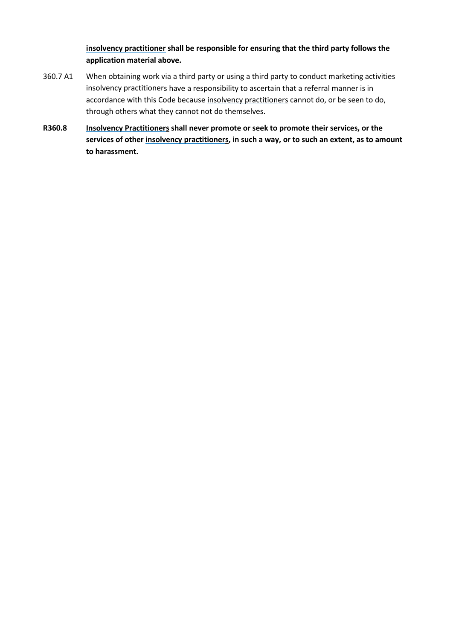**[insolvency practitioner](#page-69-1) shall be responsible for ensuring that the third party follows the application material above.**

- 360.7 A1 When obtaining work via a third party or using a third party to conduct marketing activities [insolvency practitioners](#page-69-1) have a responsibility to ascertain that a referral manner is in accordance with this Code because [insolvency practitioners](#page-69-1) cannot do, or be seen to do, through others what they cannot not do themselves.
- **R360.8 [Insolvency Practitioners](#page-69-1) shall never promote or seek to promote their services, or the services of othe[r insolvency practitioners](#page-69-1), in such a way, or to such an extent, as to amount to harassment.**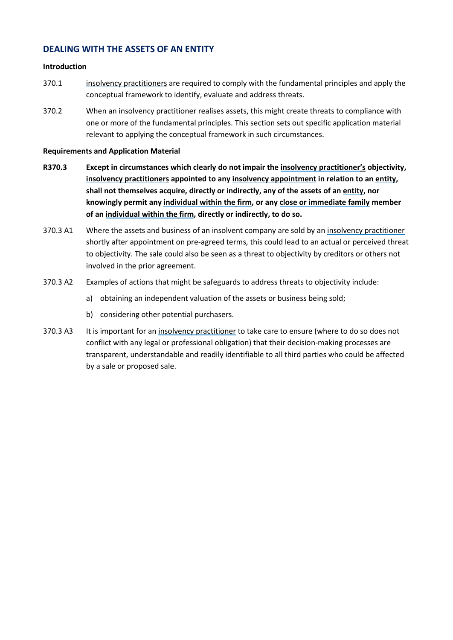### **DEALING WITH THE ASSETS OF AN ENTITY**

#### **Introduction**

- 370.1 [insolvency practitioners](#page-69-1) are required to comply with the fundamental principles and apply the conceptual framework to identify, evaluate and address threats.
- 370.2 When an [insolvency practitioner](#page-69-1) realises assets, this might create threats to compliance with one or more of the fundamental principles. This section sets out specific application material relevant to applying the conceptual framework in such circumstances.

#### **Requirements and Application Material**

- **R370.3 Except in circumstances which clearly do not impair the [insolvency practitioner'](#page-69-1)s objectivity, [insolvency practitioners](#page-69-1) appointed to an[y insolvency appointment](#page-69-0) in relation to an [entity,](#page-69-5) shall not themselves acquire, directly or indirectly, any of the assets of an [entity,](#page-69-5) nor knowingly permit any [individual within the](#page-69-8) [firm,](#page-69-3) or any [close or immediate family](#page-69-9) member of an [individual within the](#page-69-8) [firm,](#page-69-3) directly or indirectly, to do so.**
- 370.3 A1 Where the assets and business of an insolvent company are sold by an [insolvency practitioner](#page-69-1) shortly after appointment on pre-agreed terms, this could lead to an actual or perceived threat to objectivity. The sale could also be seen as a threat to objectivity by creditors or others not involved in the prior agreement.
- 370.3 A2 Examples of actions that might be safeguards to address threats to objectivity include:
	- a) obtaining an independent valuation of the assets or business being sold;
	- b) considering other potential purchasers.
- 370.3 A3 It is important for an [insolvency practitioner](#page-69-1) to take care to ensure (where to do so does not conflict with any legal or professional obligation) that their decision-making processes are transparent, understandable and readily identifiable to all third parties who could be affected by a sale or proposed sale.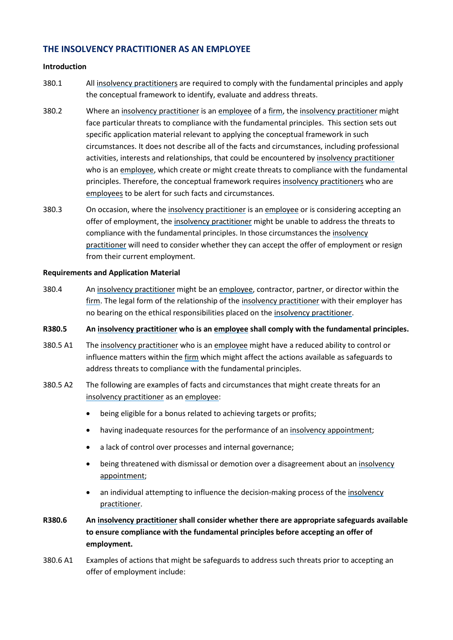### **THE INSOLVENCY PRACTITIONER AS AN EMPLOYEE**

#### **Introduction**

- 380.1 All [insolvency practitioners](#page-69-1) are required to comply with the fundamental principles and apply the conceptual framework to identify, evaluate and address threats.
- 380.2 Where an [insolvency practitioner](#page-69-1) is an [employee](#page-69-7) of a [firm,](#page-69-3) the [insolvency practitioner](#page-69-1) might face particular threats to compliance with the fundamental principles. This section sets out specific application material relevant to applying the conceptual framework in such circumstances. It does not describe all of the facts and circumstances, including professional activities, interests and relationships, that could be encountered by [insolvency practitioner](#page-69-1) who is an [employee,](#page-69-7) which create or might create threats to compliance with the fundamental principles. Therefore, the conceptual framework requires [insolvency practitioners](#page-69-1) who are [employees](#page-69-7) to be alert for such facts and circumstances.
- 380.3 On occasion, where the [insolvency practitioner](#page-69-1) is a[n employee](#page-69-7) or is considering accepting an offer of employment, the [insolvency practitioner](#page-69-1) might be unable to address the threats to compliance with the fundamental principles. In those circumstances the [insolvency](#page-69-1)  [practitioner](#page-69-1) will need to consider whether they can accept the offer of employment or resign from their current employment.

#### **Requirements and Application Material**

380.4 An [insolvency practitioner](#page-69-1) might be an [employee,](#page-69-7) contractor, partner, or director within the [firm.](#page-69-3) The legal form of the relationship of the [insolvency practitioner](#page-69-1) with their employer has no bearing on the ethical responsibilities placed on th[e insolvency practitioner.](#page-69-1)

#### **R380.5 An [insolvency practitioner](#page-69-1) who is a[n employee](#page-69-7) shall comply with the fundamental principles.**

- 380.5 A1 The [insolvency practitioner](#page-69-1) who is an [employee](#page-69-7) might have a reduced ability to control or influence matters within the [firm](#page-69-3) which might affect the actions available as safeguards to address threats to compliance with the fundamental principles.
- 380.5 A2 The following are examples of facts and circumstances that might create threats for an [insolvency practitioner](#page-69-1) as an [employee:](#page-69-7)
	- being eligible for a bonus related to achieving targets or profits;
	- having inadequate resources for the performance of a[n insolvency appointment;](#page-69-0)
	- a lack of control over processes and internal governance;
	- being threatened with dismissal or demotion over a disagreement about an insolvency [appointment;](#page-69-0)
	- an individual attempting to influence the decision-making process of the insolvency [practitioner.](#page-69-1)
- **R380.6 An [insolvency practitioner](#page-69-1) shall consider whether there are appropriate safeguards available to ensure compliance with the fundamental principles before accepting an offer of employment.**
- 380.6 A1 Examples of actions that might be safeguards to address such threats prior to accepting an offer of employment include: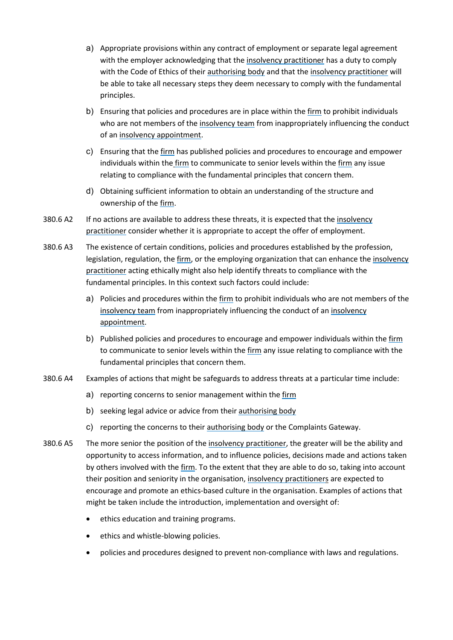- a) Appropriate provisions within any contract of employment or separate legal agreement with the employer acknowledging that the [insolvency practitioner](#page-69-1) has a duty to comply with the Code of Ethics of their [authorising body](#page-69-2) and that the [insolvency practitioner](#page-69-1) will be able to take all necessary steps they deem necessary to comply with the fundamental principles.
- b) Ensuring that policies and procedures are in place within the [firm](#page-69-3) to prohibit individuals who are not members of th[e insolvency team](#page-69-4) from inappropriately influencing the conduct of an [insolvency appointment.](#page-69-0)
- c) Ensuring that the [firm](#page-69-3) has published policies and procedures to encourage and empower individuals within the [firm](#page-69-3) to communicate to senior levels within the [firm](#page-69-3) any issue relating to compliance with the fundamental principles that concern them.
- d) Obtaining sufficient information to obtain an understanding of the structure and ownership of th[e firm.](#page-69-3)
- 380.6 A2 If no actions are available to address these threats, it is expected that the insolvency [practitioner](#page-69-1) consider whether it is appropriate to accept the offer of employment.
- 380.6 A3 The existence of certain conditions, policies and procedures established by the profession, legislation, regulation, th[e firm,](#page-69-3) or the employing organization that can enhance the insolvency [practitioner](#page-69-1) acting ethically might also help identify threats to compliance with the fundamental principles. In this context such factors could include:
	- a) Policies and procedures within the [firm](#page-69-3) to prohibit individuals who are not members of the [insolvency team](#page-69-4) from inappropriately influencing the conduct of an [insolvency](#page-69-0)  [appointment.](#page-69-0)
	- b) Published policies and procedures to encourage and empower individuals within the [firm](#page-69-3) to communicate to senior levels within th[e firm](#page-69-3) any issue relating to compliance with the fundamental principles that concern them.
- 380.6 A4 Examples of actions that might be safeguards to address threats at a particular time include:
	- a) reporting concerns to senior management within the [firm](#page-69-3)
	- b) seeking legal advice or advice from their [authorising body](#page-69-2)
	- c) reporting the concerns to their [authorising body](#page-69-2) or the Complaints Gateway.
- 380.6 A5 The more senior the position of the [insolvency practitioner,](#page-69-1) the greater will be the ability and opportunity to access information, and to influence policies, decisions made and actions taken by others involved with the [firm.](#page-69-3) To the extent that they are able to do so, taking into account their position and seniority in the organisation, [insolvency practitioners](#page-69-1) are expected to encourage and promote an ethics-based culture in the organisation. Examples of actions that might be taken include the introduction, implementation and oversight of:
	- ethics education and training programs.
	- ethics and whistle-blowing policies.
	- policies and procedures designed to prevent non-compliance with laws and regulations.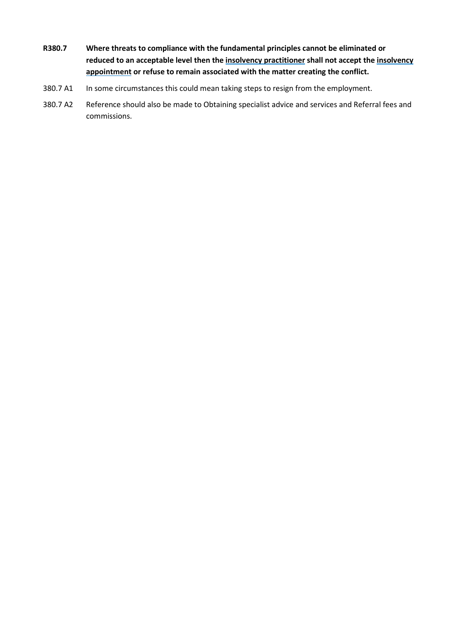- **R380.7 Where threats to compliance with the fundamental principles cannot be eliminated or reduced to an acceptable level then th[e insolvency practitioner](#page-69-1) shall not accept th[e insolvency](#page-69-0)  [appointment](#page-69-0) or refuse to remain associated with the matter creating the conflict.**
- 380.7 A1 In some circumstances this could mean taking steps to resign from the employment.
- 380.7 A2 Reference should also be made to Obtaining specialist advice and services and Referral fees and commissions.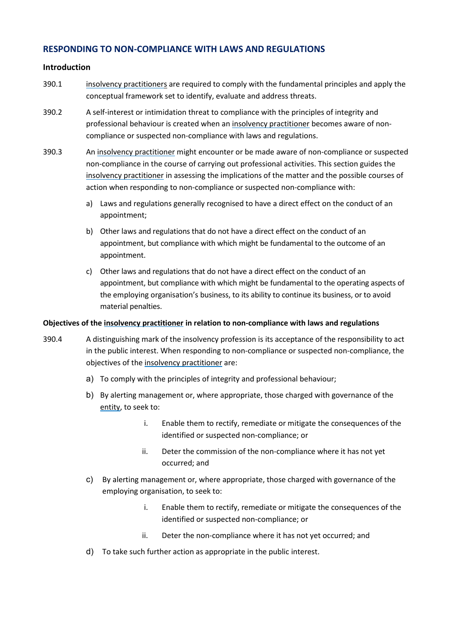### **RESPONDING TO NON-COMPLIANCE WITH LAWS AND REGULATIONS**

#### **Introduction**

- 390.1 [insolvency practitioners](#page-69-1) are required to comply with the fundamental principles and apply the conceptual framework set to identify, evaluate and address threats.
- 390.2 A self-interest or intimidation threat to compliance with the principles of integrity and professional behaviour is created when an [insolvency practitioner](#page-69-1) becomes aware of noncompliance or suspected non-compliance with laws and regulations.
- 390.3 An [insolvency practitioner](#page-69-1) might encounter or be made aware of non-compliance or suspected non-compliance in the course of carrying out professional activities. This section guides the [insolvency practitioner](#page-69-1) in assessing the implications of the matter and the possible courses of action when responding to non-compliance or suspected non-compliance with:
	- a) Laws and regulations generally recognised to have a direct effect on the conduct of an appointment;
	- b) Other laws and regulations that do not have a direct effect on the conduct of an appointment, but compliance with which might be fundamental to the outcome of an appointment.
	- c) Other laws and regulations that do not have a direct effect on the conduct of an appointment, but compliance with which might be fundamental to the operating aspects of the employing organisation's business, to its ability to continue its business, or to avoid material penalties.

#### **Objectives of th[e insolvency practitioner](#page-69-1) in relation to non-compliance with laws and regulations**

- 390.4 A distinguishing mark of the insolvency profession is its acceptance of the responsibility to act in the public interest. When responding to non-compliance or suspected non-compliance, the objectives of the [insolvency practitioner](#page-69-1) are:
	- a) To comply with the principles of integrity and professional behaviour;
	- b) By alerting management or, where appropriate, those charged with governance of the [entity,](#page-69-5) to seek to:
		- i. Enable them to rectify, remediate or mitigate the consequences of the identified or suspected non-compliance; or
		- ii. Deter the commission of the non-compliance where it has not yet occurred; and
	- c) By alerting management or, where appropriate, those charged with governance of the employing organisation, to seek to:
		- i. Enable them to rectify, remediate or mitigate the consequences of the identified or suspected non-compliance; or
		- ii. Deter the non-compliance where it has not yet occurred; and
	- d) To take such further action as appropriate in the public interest.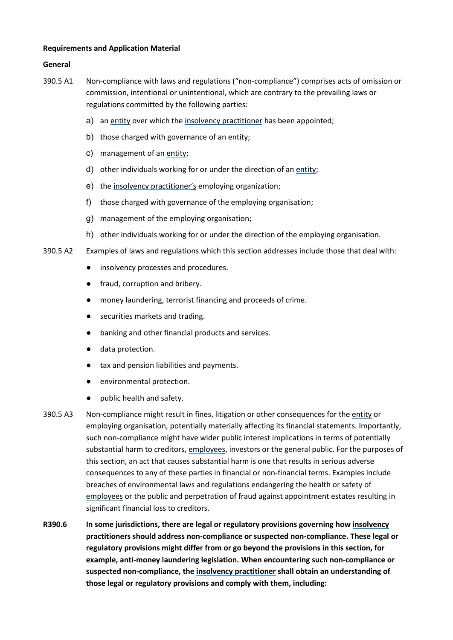#### **Requirements and Application Material**

#### **General**

- 390.5 A1 Non-compliance with laws and regulations ("non-compliance") comprises acts of omission or commission, intentional or unintentional, which are contrary to the prevailing laws or regulations committed by the following parties:
	- a) an [entity](#page-69-5) over which the [insolvency practitioner](#page-69-1) has been appointed;
	- b) those charged with governance of an [entity;](#page-69-5)
	- c) management of an [entity;](#page-69-5)
	- d) other individuals working for or under the direction of a[n entity;](#page-69-5)
	- e) the [insolvency practitioner'](#page-69-1)s employing organization;
	- f) those charged with governance of the employing organisation;
	- g) management of the employing organisation;
	- h) other individuals working for or under the direction of the employing organisation.
- 390.5 A2 Examples of laws and regulations which this section addresses include those that deal with:
	- insolvency processes and procedures.
	- fraud, corruption and bribery.
	- money laundering, terrorist financing and proceeds of crime.
	- securities markets and trading.
	- banking and other financial products and services.
	- data protection.
	- tax and pension liabilities and payments.
	- environmental protection.
	- public health and safety.
- 390.5 A3 Non-compliance might result in fines, litigation or other consequences for the [entity](#page-69-5) or employing organisation, potentially materially affecting its financial statements. Importantly, such non-compliance might have wider public interest implications in terms of potentially substantial harm to creditors, [employees](#page-69-7), investors or the general public. For the purposes of this section, an act that causes substantial harm is one that results in serious adverse consequences to any of these parties in financial or non-financial terms. Examples include breaches of environmental laws and regulations endangering the health or safety of [employees](#page-69-7) or the public and perpetration of fraud against appointment estates resulting in significant financial loss to creditors.
- **R390.6 In some jurisdictions, there are legal or regulatory provisions governing how [insolvency](#page-69-1)  [practitioners](#page-69-1) should address non-compliance or suspected non-compliance. These legal or regulatory provisions might differ from or go beyond the provisions in this section, for example, anti-money laundering legislation. When encountering such non-compliance or suspected non-compliance, the [insolvency practitioner](#page-69-1) shall obtain an understanding of those legal or regulatory provisions and comply with them, including:**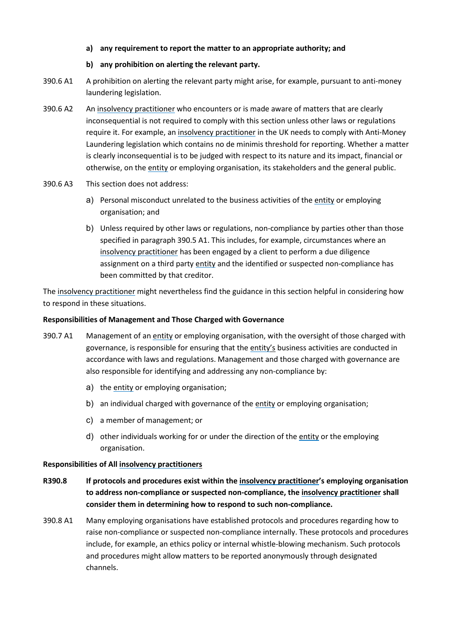#### **a) any requirement to report the matter to an appropriate authority; and**

#### **b) any prohibition on alerting the relevant party.**

- 390.6 A1 A prohibition on alerting the relevant party might arise, for example, pursuant to anti-money laundering legislation.
- 390.6 A2 An [insolvency practitioner](#page-69-1) who encounters or is made aware of matters that are clearly inconsequential is not required to comply with this section unless other laws or regulations require it. For example, an [insolvency practitioner](#page-69-1) in the UK needs to comply with Anti-Money Laundering legislation which contains no de minimis threshold for reporting. Whether a matter is clearly inconsequential is to be judged with respect to its nature and its impact, financial or otherwise, on the [entity](#page-69-5) or employing organisation, its stakeholders and the general public.
- 390.6 A3 This section does not address:
	- a) Personal misconduct unrelated to the business activities of the [entity](#page-69-5) or employing organisation; and
	- b) Unless required by other laws or regulations, non-compliance by parties other than those specified in paragraph 390.5 A1. This includes, for example, circumstances where an [insolvency practitioner](#page-69-1) has been engaged by a client to perform a due diligence assignment on a third party [entity](#page-69-5) and the identified or suspected non-compliance has been committed by that creditor.

The [insolvency practitioner](#page-69-1) might nevertheless find the guidance in this section helpful in considering how to respond in these situations.

#### **Responsibilities of Management and Those Charged with Governance**

- 390.7 A1 Management of an [entity](#page-69-5) or employing organisation, with the oversight of those charged with governance, is responsible for ensuring that the [entity's](#page-69-5) business activities are conducted in accordance with laws and regulations. Management and those charged with governance are also responsible for identifying and addressing any non-compliance by:
	- a) the [entity](#page-69-5) or employing organisation;
	- b) an individual charged with governance of the [entity](#page-69-5) or employing organisation;
	- c) a member of management; or
	- d) other individuals working for or under the direction of the [entity](#page-69-5) or the employing organisation.

#### **Responsibilities of All [insolvency practitioners](#page-69-1)**

- **R390.8 If protocols and procedures exist within the [insolvency practitioner'](#page-69-1)s employing organisation to address non-compliance or suspected non-compliance, th[e insolvency practitioner](#page-69-1) shall consider them in determining how to respond to such non-compliance.**
- 390.8 A1 Many employing organisations have established protocols and procedures regarding how to raise non-compliance or suspected non-compliance internally. These protocols and procedures include, for example, an ethics policy or internal whistle-blowing mechanism. Such protocols and procedures might allow matters to be reported anonymously through designated channels.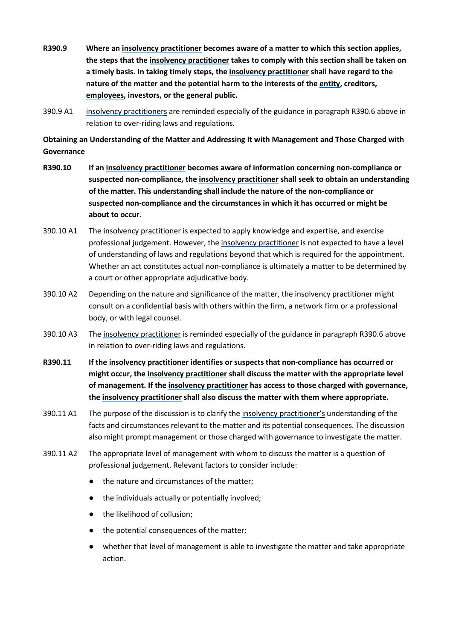- **R390.9 Where an [insolvency practitioner](#page-69-1) becomes aware of a matter to which this section applies, the steps that the [insolvency practitioner](#page-69-1) takes to comply with this section shall be taken on a timely basis. In taking timely steps, th[e insolvency practitioner](#page-69-1) shall have regard to the nature of the matter and the potential harm to the interests of the [entity,](#page-69-5) creditors, [employees](#page-69-7), investors, or the general public.**
- 390.9 A1 [insolvency practitioners](#page-69-1) are reminded especially of the guidance in paragraph R390.6 above in relation to over-riding laws and regulations.

**Obtaining an Understanding of the Matter and Addressing It with Management and Those Charged with Governance**

- **R390.10 If a[n insolvency practitioner](#page-69-1) becomes aware of information concerning non-compliance or suspected non-compliance, th[e insolvency practitioner](#page-69-1) shall seek to obtain an understanding of the matter. This understanding shall include the nature of the non-compliance or suspected non-compliance and the circumstances in which it has occurred or might be about to occur.**
- 390.10 A1 The [insolvency practitioner](#page-69-1) is expected to apply knowledge and expertise, and exercise professional judgement. However, the [insolvency practitioner](#page-69-1) is not expected to have a level of understanding of laws and regulations beyond that which is required for the appointment. Whether an act constitutes actual non-compliance is ultimately a matter to be determined by a court or other appropriate adjudicative body.
- 390.10 A2 Depending on the nature and significance of the matter, the [insolvency practitioner](#page-69-1) might consult on a confidential basis with others within th[e firm,](#page-69-3) a [network](#page-69-6) [firm](#page-69-3) or a professional body, or with legal counsel.
- 390.10 A3 The [insolvency practitioner](#page-69-1) is reminded especially of the guidance in paragraph R390.6 above in relation to over-riding laws and regulations.
- **R390.11 If th[e insolvency practitioner](#page-69-1) identifies or suspects that non-compliance has occurred or might occur, the [insolvency practitioner](#page-69-1) shall discuss the matter with the appropriate level of management. If th[e insolvency practitioner](#page-69-1) has access to those charged with governance, th[e insolvency practitioner](#page-69-1) shall also discuss the matter with them where appropriate.**
- 390.11 A1 The purpose of the discussion is to clarify the [insolvency practitioner'](#page-69-1)s understanding of the facts and circumstances relevant to the matter and its potential consequences. The discussion also might prompt management or those charged with governance to investigate the matter.
- 390.11 A2 The appropriate level of management with whom to discuss the matter is a question of professional judgement. Relevant factors to consider include:
	- the nature and circumstances of the matter;
	- the individuals actually or potentially involved;
	- the likelihood of collusion;
	- the potential consequences of the matter;
	- whether that level of management is able to investigate the matter and take appropriate action.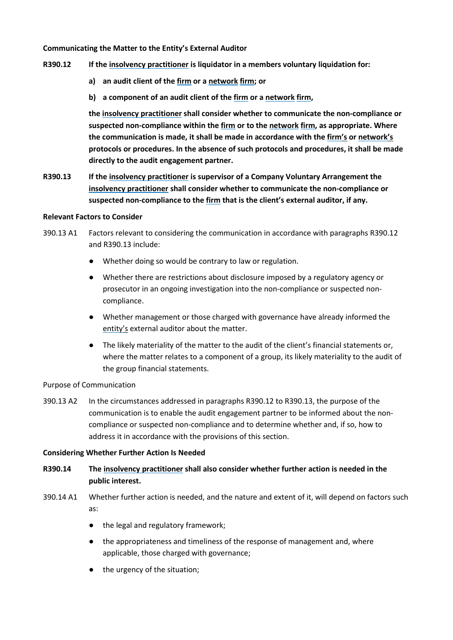#### **Communicating the Matter to the Entity's External Auditor**

- **R390.12 If th[e insolvency practitioner](#page-69-1) is liquidator in a members voluntary liquidation for:** 
	- **a) an audit client of th[e firm](#page-69-3) or a [network](#page-69-6) [firm;](#page-69-3) or**
	- **b) a component of an audit client of the [firm](#page-69-3) or a [network](#page-69-6) [firm,](#page-69-3)**

**th[e insolvency practitioner](#page-69-1) shall consider whether to communicate the non-compliance or suspected non-compliance within th[e firm](#page-69-3) or to the [network](#page-69-6) [firm,](#page-69-3) as appropriate. Where the communication is made, it shall be made in accordance with the [firm'](#page-69-3)s or [network'](#page-69-6)s protocols or procedures. In the absence of such protocols and procedures, it shall be made directly to the audit engagement partner.**

**R390.13 If th[e insolvency practitioner](#page-69-1) is supervisor of a Company Voluntary Arrangement the [insolvency practitioner](#page-69-1) shall consider whether to communicate the non-compliance or suspected non-compliance to the [firm](#page-69-3) that is the client's external auditor, if any.** 

#### **Relevant Factors to Consider**

- 390.13 A1 Factors relevant to considering the communication in accordance with paragraphs R390.12 and R390.13 include:
	- Whether doing so would be contrary to law or regulation.
	- Whether there are restrictions about disclosure imposed by a regulatory agency or prosecutor in an ongoing investigation into the non-compliance or suspected noncompliance.
	- Whether management or those charged with governance have already informed the [entity'](#page-69-5)s external auditor about the matter.
	- The likely materiality of the matter to the audit of the client's financial statements or, where the matter relates to a component of a group, its likely materiality to the audit of the group financial statements.

#### Purpose of Communication

390.13 A2 In the circumstances addressed in paragraphs R390.12 to R390.13, the purpose of the communication is to enable the audit engagement partner to be informed about the noncompliance or suspected non-compliance and to determine whether and, if so, how to address it in accordance with the provisions of this section.

#### **Considering Whether Further Action Is Needed**

- **R390.14 The [insolvency practitioner](#page-69-1) shall also consider whether further action is needed in the public interest.**
- 390.14 A1 Whether further action is needed, and the nature and extent of it, will depend on factors such as:
	- the legal and regulatory framework;
	- the appropriateness and timeliness of the response of management and, where applicable, those charged with governance;
	- the urgency of the situation;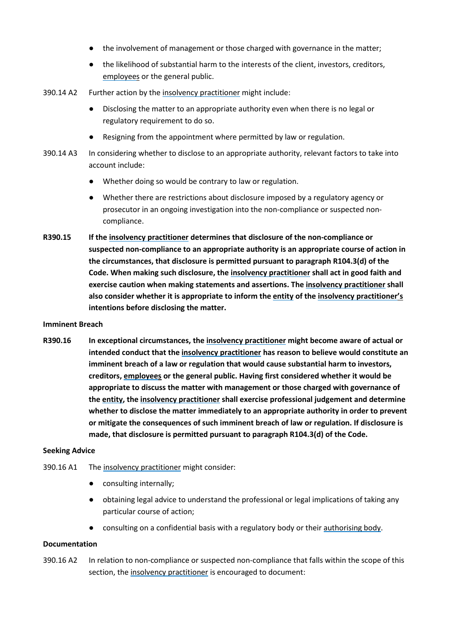- the involvement of management or those charged with governance in the matter;
- the likelihood of substantial harm to the interests of the client, investors, creditors, [employees](#page-69-7) or the general public.
- 390.14 A2 Further action by th[e insolvency practitioner](#page-69-1) might include:
	- Disclosing the matter to an appropriate authority even when there is no legal or regulatory requirement to do so.
	- Resigning from the appointment where permitted by law or regulation.
- 390.14 A3 In considering whether to disclose to an appropriate authority, relevant factors to take into account include:
	- Whether doing so would be contrary to law or regulation.
	- Whether there are restrictions about disclosure imposed by a regulatory agency or prosecutor in an ongoing investigation into the non-compliance or suspected noncompliance.
- **R390.15 If th[e insolvency practitioner](#page-69-1) determines that disclosure of the non-compliance or suspected non-compliance to an appropriate authority is an appropriate course of action in the circumstances, that disclosure is permitted pursuant to paragraph R104.3(d) of the Code. When making such disclosure, the [insolvency practitioner](#page-69-1) shall act in good faith and exercise caution when making statements and assertions. The [insolvency practitioner](#page-69-1) shall also consider whether it is appropriate to inform the [entity](#page-69-5) of the [insolvency practitioner'](#page-69-1)s intentions before disclosing the matter.**

#### **Imminent Breach**

**R390.16 In exceptional circumstances, th[e insolvency practitioner](#page-69-1) might become aware of actual or intended conduct that the [insolvency practitioner](#page-69-1) has reason to believe would constitute an imminent breach of a law or regulation that would cause substantial harm to investors, creditors, [employees](#page-69-7) or the general public. Having first considered whether it would be appropriate to discuss the matter with management or those charged with governance of th[e entity,](#page-69-5) th[e insolvency practitioner](#page-69-1) shall exercise professional judgement and determine whether to disclose the matter immediately to an appropriate authority in order to prevent or mitigate the consequences of such imminent breach of law or regulation. If disclosure is made, that disclosure is permitted pursuant to paragraph R104.3(d) of the Code.**

#### **Seeking Advice**

- 390.16 A1 The [insolvency practitioner](#page-69-1) might consider:
	- consulting internally;
	- obtaining legal advice to understand the professional or legal implications of taking any particular course of action;
	- consulting on a confidential basis with a regulatory body or thei[r authorising body.](#page-69-2)

#### **Documentation**

390.16 A2 In relation to non-compliance or suspected non-compliance that falls within the scope of this section, th[e insolvency practitioner](#page-69-1) is encouraged to document: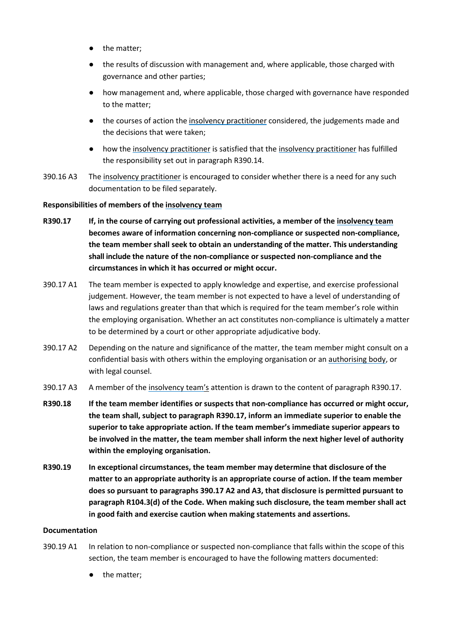- the matter;
- the results of discussion with management and, where applicable, those charged with governance and other parties;
- how management and, where applicable, those charged with governance have responded to the matter;
- the courses of action th[e insolvency practitioner](#page-69-1) considered, the judgements made and the decisions that were taken;
- how th[e insolvency practitioner](#page-69-1) is satisfied that the insolvency practitioner has fulfilled the responsibility set out in paragraph R390.14.
- 390.16 A3 The [insolvency practitioner](#page-69-1) is encouraged to consider whether there is a need for any such documentation to be filed separately.

#### **Responsibilities of members of th[e insolvency team](#page-69-4)**

- **R390.17 If, in the course of carrying out professional activities, a member of the [insolvency team](#page-69-4) becomes aware of information concerning non-compliance or suspected non-compliance, the team member shall seek to obtain an understanding of the matter. This understanding shall include the nature of the non-compliance or suspected non-compliance and the circumstances in which it has occurred or might occur.**
- 390.17 A1 The team member is expected to apply knowledge and expertise, and exercise professional judgement. However, the team member is not expected to have a level of understanding of laws and regulations greater than that which is required for the team member's role within the employing organisation. Whether an act constitutes non-compliance is ultimately a matter to be determined by a court or other appropriate adjudicative body.
- 390.17 A2 Depending on the nature and significance of the matter, the team member might consult on a confidential basis with others within the employing organisation or an [authorising body,](#page-69-2) or with legal counsel.
- 390.17 A3 A member of the [insolvency team'](#page-69-4)s attention is drawn to the content of paragraph R390.17.
- **R390.18 If the team member identifies or suspects that non-compliance has occurred or might occur, the team shall, subject to paragraph R390.17, inform an immediate superior to enable the superior to take appropriate action. If the team member's immediate superior appears to be involved in the matter, the team member shall inform the next higher level of authority within the employing organisation.**
- **R390.19 In exceptional circumstances, the team member may determine that disclosure of the matter to an appropriate authority is an appropriate course of action. If the team member does so pursuant to paragraphs 390.17 A2 and A3, that disclosure is permitted pursuant to paragraph R104.3(d) of the Code. When making such disclosure, the team member shall act in good faith and exercise caution when making statements and assertions.**

#### **Documentation**

- 390.19 A1 In relation to non-compliance or suspected non-compliance that falls within the scope of this section, the team member is encouraged to have the following matters documented:
	- the matter;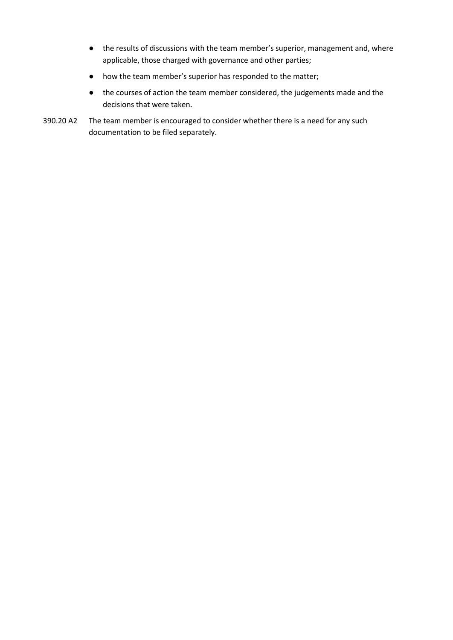- the results of discussions with the team member's superior, management and, where applicable, those charged with governance and other parties;
- how the team member's superior has responded to the matter;
- the courses of action the team member considered, the judgements made and the decisions that were taken.
- 390.20 A2 The team member is encouraged to consider whether there is a need for any such documentation to be filed separately.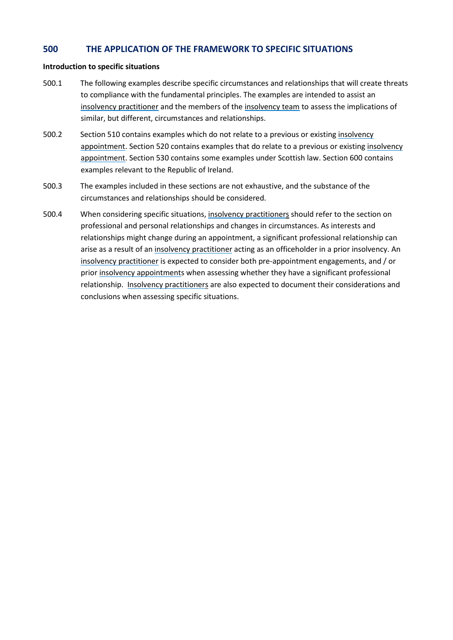### **500 THE APPLICATION OF THE FRAMEWORK TO SPECIFIC SITUATIONS**

#### **Introduction to specific situations**

- 500.1 The following examples describe specific circumstances and relationships that will create threats to compliance with the fundamental principles. The examples are intended to assist an [insolvency practitioner](#page-69-1) and the members of th[e insolvency team](#page-69-4) to assess the implications of similar, but different, circumstances and relationships.
- 500.2 Section 510 contains examples which do not relate to a previous or existing [insolvency](#page-69-0)  [appointment.](#page-69-0) Section 520 contains examples that do relate to a previous or existing [insolvency](#page-69-0)  [appointment.](#page-69-0) Section 530 contains some examples under Scottish law. Section 600 contains examples relevant to the Republic of Ireland.
- 500.3 The examples included in these sections are not exhaustive, and the substance of the circumstances and relationships should be considered.
- 500.4 When considering specific situations, [insolvency practitioners](#page-69-1) should refer to the section on professional and personal relationships and changes in circumstances. As interests and relationships might change during an appointment, a significant professional relationship can arise as a result of an [insolvency practitioner](#page-69-1) acting as an officeholder in a prior insolvency. An [insolvency practitioner](#page-69-1) is expected to consider both pre-appointment engagements, and / or prio[r insolvency appointments](#page-69-0) when assessing whether they have a significant professional relationship. [Insolvency practitioners](#page-69-1) are also expected to document their considerations and conclusions when assessing specific situations.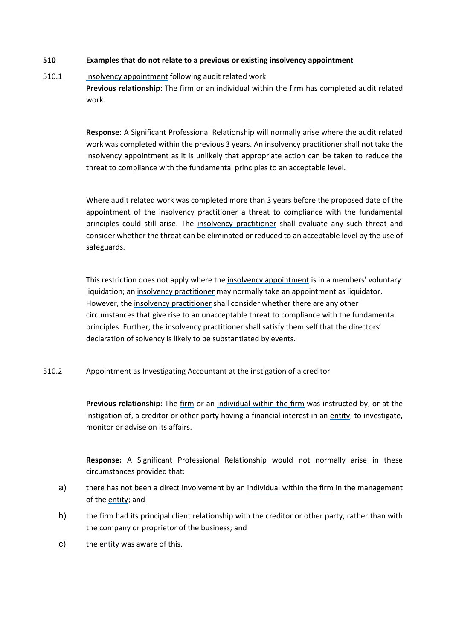#### **510 Examples that do not relate to a previous or existin[g insolvency appointment](#page-69-0)**

### 510.1 [insolvency appointment](#page-69-0) following audit related work **Previous relationship**: The [firm](#page-69-3) or an [individual within the](#page-69-8) [firm](#page-69-3) has completed audit related work.

**Response**: A Significant Professional Relationship will normally arise where the audit related work was completed within the previous 3 years. A[n insolvency practitioner](#page-69-1) shall not take the [insolvency appointment](#page-69-0) as it is unlikely that appropriate action can be taken to reduce the threat to compliance with the fundamental principles to an acceptable level.

Where audit related work was completed more than 3 years before the proposed date of the appointment of the [insolvency practitioner](#page-69-1) a threat to compliance with the fundamental principles could still arise. The [insolvency practitioner](#page-69-1) shall evaluate any such threat and consider whether the threat can be eliminated or reduced to an acceptable level by the use of safeguards.

This restriction does not apply where the [insolvency appointment](#page-69-0) is in a members' voluntary liquidation; an [insolvency practitioner](#page-69-1) may normally take an appointment as liquidator. However, the [insolvency practitioner](#page-69-1) shall consider whether there are any other circumstances that give rise to an unacceptable threat to compliance with the fundamental principles. Further, the [insolvency practitioner](#page-69-1) shall satisfy them self that the directors' declaration of solvency is likely to be substantiated by events.

510.2 Appointment as Investigating Accountant at the instigation of a creditor

**Previous relationship**: The [firm](#page-69-3) or an [individual within the](#page-69-8) [firm](#page-69-3) was instructed by, or at the instigation of, a creditor or other party having a financial interest in an [entity,](#page-69-5) to investigate, monitor or advise on its affairs.

**Response:** A Significant Professional Relationship would not normally arise in these circumstances provided that:

- a) there has not been a direct involvement by an [individual within the](#page-69-8) [firm](#page-69-3) in the management of th[e entity;](#page-69-5) and
- b) the [firm](#page-69-3) had its principal client relationship with the creditor or other party, rather than with the company or proprietor of the business; and
- c) the [entity](#page-69-5) was aware of this.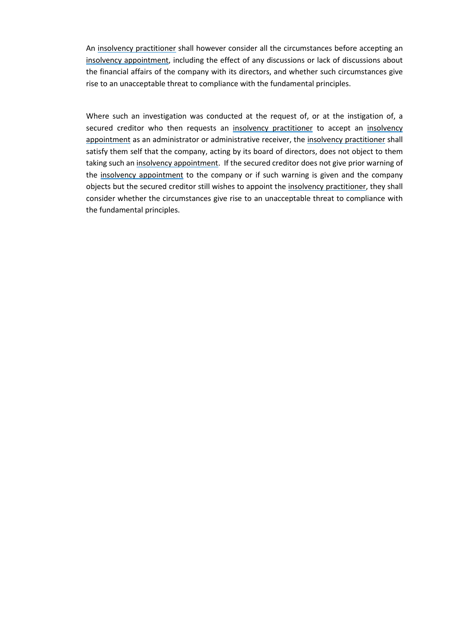An [insolvency practitioner](#page-69-1) shall however consider all the circumstances before accepting an [insolvency appointment,](#page-69-0) including the effect of any discussions or lack of discussions about the financial affairs of the company with its directors, and whether such circumstances give rise to an unacceptable threat to compliance with the fundamental principles.

Where such an investigation was conducted at the request of, or at the instigation of, a secured creditor who then requests an [insolvency practitioner](#page-69-1) to accept an [insolvency](#page-69-0)  [appointment](#page-69-0) as an administrator or administrative receiver, the [insolvency practitioner](#page-69-1) shall satisfy them self that the company, acting by its board of directors, does not object to them taking such a[n insolvency appointment.](#page-69-0) If the secured creditor does not give prior warning of the [insolvency appointment](#page-69-0) to the company or if such warning is given and the company objects but the secured creditor still wishes to appoint the [insolvency practitioner,](#page-69-1) they shall consider whether the circumstances give rise to an unacceptable threat to compliance with the fundamental principles.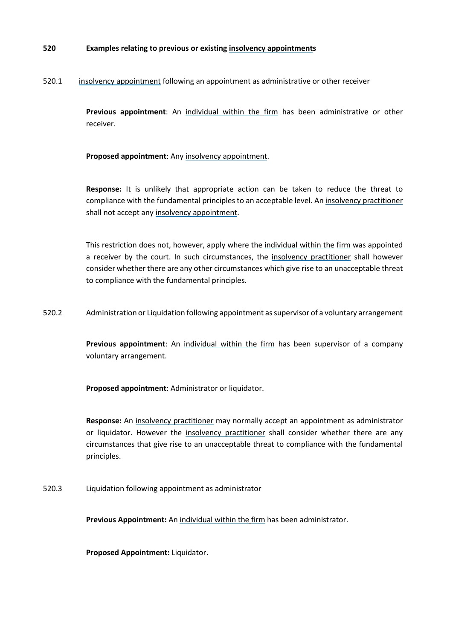#### **520 Examples relating to previous or existing [insolvency appointments](#page-69-0)**

#### 520.1 [insolvency appointment](#page-69-0) following an appointment as administrative or other receiver

**Previous appointment**: An [individual within the](#page-69-8) [firm](#page-69-3) has been administrative or other receiver.

 **Proposed appointment**: Any [insolvency appointment.](#page-69-0)

**Response:** It is unlikely that appropriate action can be taken to reduce the threat to compliance with the fundamental principles to an acceptable level. An [insolvency practitioner](#page-69-1) shall not accept an[y insolvency appointment.](#page-69-0)

This restriction does not, however, apply where the individual [within the](#page-69-8) [firm](#page-69-3) was appointed a receiver by the court. In such circumstances, the [insolvency practitioner](#page-69-1) shall however consider whether there are any other circumstances which give rise to an unacceptable threat to compliance with the fundamental principles.

520.2 Administration or Liquidation following appointment as supervisor of a voluntary arrangement

**Previous appointment**: An [individual within the](#page-69-8) [firm](#page-69-3) has been supervisor of a company voluntary arrangement.

**Proposed appointment**: Administrator or liquidator.

**Response:** An [insolvency practitioner](#page-69-1) may normally accept an appointment as administrator or liquidator. However the [insolvency practitioner](#page-69-1) shall consider whether there are any circumstances that give rise to an unacceptable threat to compliance with the fundamental principles.

520.3 Liquidation following appointment as administrator

**Previous Appointment:** An [individual within the](#page-69-8) [firm](#page-69-3) has been administrator.

**Proposed Appointment:** Liquidator.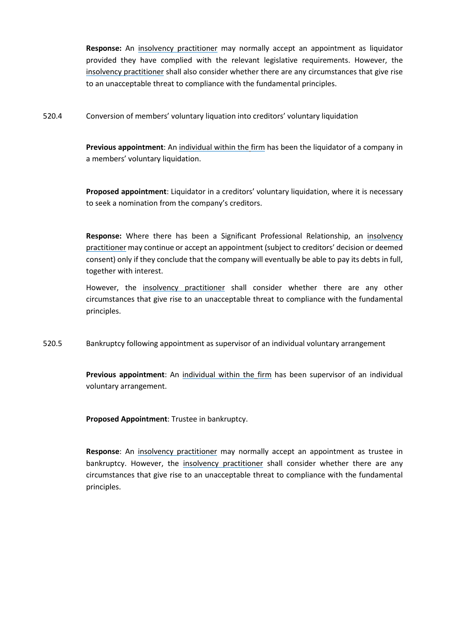**Response:** An [insolvency practitioner](#page-69-1) may normally accept an appointment as liquidator provided they have complied with the relevant legislative requirements. However, the [insolvency practitioner](#page-69-1) shall also consider whether there are any circumstances that give rise to an unacceptable threat to compliance with the fundamental principles.

520.4 Conversion of members' voluntary liquation into creditors' voluntary liquidation

**Previous appointment**: An [individual within the](#page-69-8) [firm](#page-69-3) has been the liquidator of a company in a members' voluntary liquidation.

**Proposed appointment**: Liquidator in a creditors' voluntary liquidation, where it is necessary to seek a nomination from the company's creditors.

**Response:** Where there has been a Significant Professional Relationship, an [insolvency](#page-69-1)  [practitioner](#page-69-1) may continue or accept an appointment (subject to creditors' decision or deemed consent) only if they conclude that the company will eventually be able to pay its debts in full, together with interest.

However, the [insolvency practitioner](#page-69-1) shall consider whether there are any other circumstances that give rise to an unacceptable threat to compliance with the fundamental principles.

520.5 Bankruptcy following appointment as supervisor of an individual voluntary arrangement

**Previous appointment**: An [individual within the](#page-69-8) [firm](#page-69-3) has been supervisor of an individual voluntary arrangement.

**Proposed Appointment**: Trustee in bankruptcy.

**Response**: An [insolvency practitioner](#page-69-1) may normally accept an appointment as trustee in bankruptcy. However, the [insolvency practitioner](#page-69-1) shall consider whether there are any circumstances that give rise to an unacceptable threat to compliance with the fundamental principles.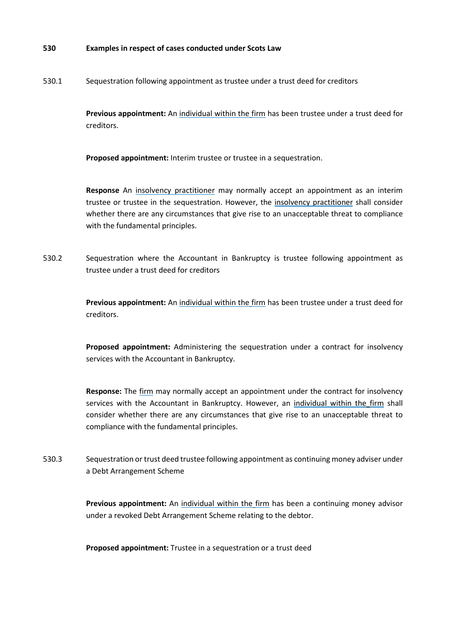#### **530 Examples in respect of cases conducted under Scots Law**

530.1 Sequestration following appointment as trustee under a trust deed for creditors

**Previous appointment:** An [individual within the](#page-69-8) [firm](#page-69-3) has been trustee under a trust deed for creditors.

**Proposed appointment:** Interim trustee or trustee in a sequestration.

**Response** An [insolvency practitioner](#page-69-1) may normally accept an appointment as an interim trustee or trustee in the sequestration. However, the [insolvency practitioner](#page-69-1) shall consider whether there are any circumstances that give rise to an unacceptable threat to compliance with the fundamental principles.

530.2 Sequestration where the Accountant in Bankruptcy is trustee following appointment as trustee under a trust deed for creditors

> **Previous appointment:** An [individual within the](#page-69-8) [firm](#page-69-3) has been trustee under a trust deed for creditors.

> **Proposed appointment:** Administering the sequestration under a contract for insolvency services with the Accountant in Bankruptcy.

> **Response:** The [firm](#page-69-3) may normally accept an appointment under the contract for insolvency services with the Accountant in Bankruptcy. However, an [individual within the](#page-69-8) [firm](#page-69-3) shall consider whether there are any circumstances that give rise to an unacceptable threat to compliance with the fundamental principles.

530.3 Sequestration or trust deed trustee following appointment as continuing money adviser under a Debt Arrangement Scheme

> **Previous appointment:** An [individual within the](#page-69-8) [firm](#page-69-3) has been a continuing money advisor under a revoked Debt Arrangement Scheme relating to the debtor.

**Proposed appointment:** Trustee in a sequestration or a trust deed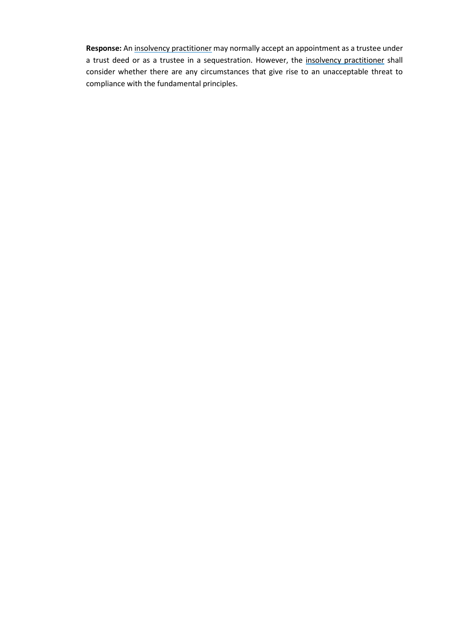**Response:** An [insolvency practitioner](#page-69-1) may normally accept an appointment as a trustee under a trust deed or as a trustee in a sequestration. However, the [insolvency practitioner](#page-69-1) shall consider whether there are any circumstances that give rise to an unacceptable threat to compliance with the fundamental principles.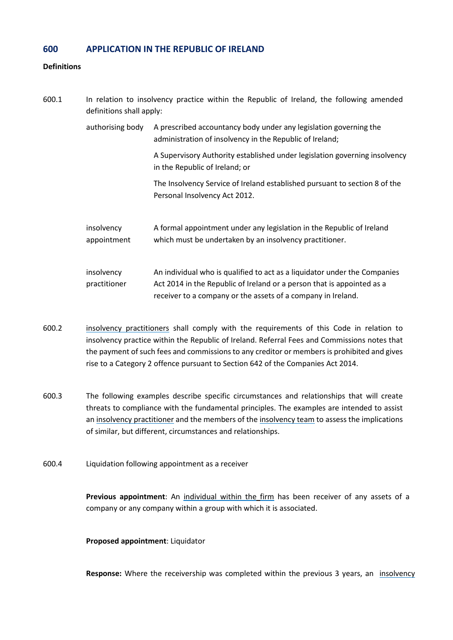### **600 APPLICATION IN THE REPUBLIC OF IRELAND**

#### **Definitions**

| 600.1 | In relation to insolvency practice within the Republic of Ireland, the following amended<br>definitions shall apply: |                                                                                                                                                                                                                     |  |  |
|-------|----------------------------------------------------------------------------------------------------------------------|---------------------------------------------------------------------------------------------------------------------------------------------------------------------------------------------------------------------|--|--|
|       | authorising body                                                                                                     | A prescribed accountancy body under any legislation governing the<br>administration of insolvency in the Republic of Ireland;                                                                                       |  |  |
|       |                                                                                                                      | A Supervisory Authority established under legislation governing insolvency<br>in the Republic of Ireland; or                                                                                                        |  |  |
|       |                                                                                                                      | The Insolvency Service of Ireland established pursuant to section 8 of the<br>Personal Insolvency Act 2012.                                                                                                         |  |  |
|       | insolvency<br>appointment                                                                                            | A formal appointment under any legislation in the Republic of Ireland<br>which must be undertaken by an insolvency practitioner.                                                                                    |  |  |
|       | insolvency<br>practitioner                                                                                           | An individual who is qualified to act as a liquidator under the Companies<br>Act 2014 in the Republic of Ireland or a person that is appointed as a<br>receiver to a company or the assets of a company in Ireland. |  |  |

- <span id="page-66-1"></span><span id="page-66-0"></span>600.2 [insolvency practitioners](#page-66-0) shall comply with the requirements of this Code in relation to insolvency practice within the Republic of Ireland. Referral Fees and Commissions notes that the payment of such fees and commissions to any creditor or members is prohibited and gives rise to a Category 2 offence pursuant to Section 642 of the Companies Act 2014.
- 600.3 The following examples describe specific circumstances and relationships that will create threats to compliance with the fundamental principles. The examples are intended to assist an [insolvency practitioner](#page-66-0) and the members of th[e insolvency team](#page-69-4) to assess the implications of similar, but different, circumstances and relationships.
- 600.4 Liquidation following appointment as a receiver

**Previous appointment**: An [individual within the](#page-69-8) [firm](#page-69-3) has been receiver of any assets of a company or any company within a group with which it is associated.

#### **Proposed appointment**: Liquidator

**Response:** Where the receivership was completed within the previous 3 years, an [insolvency](#page-66-0)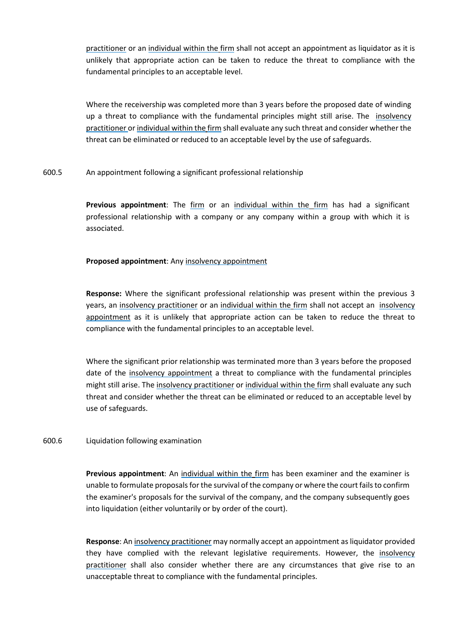[practitioner](#page-66-0) or an [individual within the](#page-69-8) [firm](#page-69-3) shall not accept an appointment as liquidator as it is unlikely that appropriate action can be taken to reduce the threat to compliance with the fundamental principles to an acceptable level.

Where the receivership was completed more than 3 years before the proposed date of winding up a threat to compliance with the fundamental principles might still arise. The insolvency [practitioner](#page-66-0) or [individual within the](#page-69-8) [firm](#page-69-3) shall evaluate any such threat and consider whether the threat can be eliminated or reduced to an acceptable level by the use of safeguards.

600.5 An appointment following a significant professional relationship

**Previous appointment**: The [firm](#page-69-3) or an [individual within the](#page-69-8) [firm](#page-69-3) has had a significant professional relationship with a company or any company within a group with which it is associated.

#### **Proposed appointment**: Any [insolvency appointment](#page-66-1)

**Response:** Where the significant professional relationship was present within the previous 3 years, an [insolvency practitioner](#page-66-0) or an [individual within the](#page-69-8) [firm](#page-69-3) shall not accept an [insolvency](#page-66-1)  [appointment](#page-66-1) as it is unlikely that appropriate action can be taken to reduce the threat to compliance with the fundamental principles to an acceptable level.

Where the significant prior relationship was terminated more than 3 years before the proposed date of the [insolvency appointment](#page-66-1) a threat to compliance with the fundamental principles might still arise. The [insolvency practitioner](#page-66-0) or [individual within the](#page-69-8) [firm](#page-69-3) shall evaluate any such threat and consider whether the threat can be eliminated or reduced to an acceptable level by use of safeguards.

#### 600.6 Liquidation following examination

**Previous appointment**: An [individual within the](#page-69-8) [firm](#page-69-3) has been examiner and the examiner is unable to formulate proposals for the survival of the company or where the court fails to confirm the examiner's proposals for the survival of the company, and the company subsequently goes into liquidation (either voluntarily or by order of the court).

**Response**: A[n insolvency practitioner](#page-66-0) may normally accept an appointment as liquidator provided they have complied with the relevant legislative requirements. However, the [insolvency](#page-66-0)  [practitioner](#page-66-0) shall also consider whether there are any circumstances that give rise to an unacceptable threat to compliance with the fundamental principles.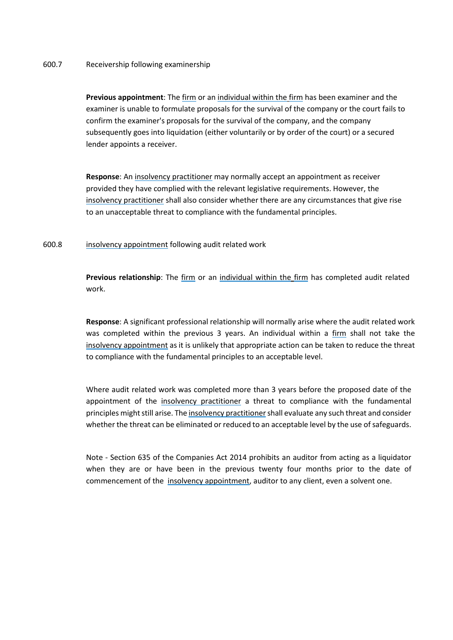#### 600.7 Receivership following examinership

**Previous appointment**: The [firm](#page-69-3) or an [individual within the](#page-69-8) [firm](#page-69-3) has been examiner and the examiner is unable to formulate proposals for the survival of the company or the court fails to confirm the examiner's proposals for the survival of the company, and the company subsequently goes into liquidation (either voluntarily or by order of the court) or a secured lender appoints a receiver.

**Response**: An [insolvency practitioner](#page-66-0) may normally accept an appointment as receiver provided they have complied with the relevant legislative requirements. However, the [insolvency practitioner](#page-66-0) shall also consider whether there are any circumstances that give rise to an unacceptable threat to compliance with the fundamental principles.

#### 600.8 [insolvency appointment](#page-66-1) following audit related work

**Previous relationship**: The [firm](#page-69-3) or an [individual within the](#page-69-8) [firm](#page-69-3) has completed audit related work.

**Response**: A significant professional relationship will normally arise where the audit related work was completed within the previous 3 years. An individual within a [firm](#page-69-3) shall not take the [insolvency appointment](#page-66-1) as it is unlikely that appropriate action can be taken to reduce the threat to compliance with the fundamental principles to an acceptable level.

Where audit related work was completed more than 3 years before the proposed date of the appointment of the [insolvency practitioner](#page-66-0) a threat to compliance with the fundamental principles might still arise. Th[e insolvency practitioners](#page-66-0)hall evaluate any such threat and consider whether the threat can be eliminated or reduced to an acceptable level by the use of safeguards.

Note - Section 635 of the Companies Act 2014 prohibits an auditor from acting as a liquidator when they are or have been in the previous twenty four months prior to the date of commencement of the [insolvency appointment,](#page-66-1) auditor to any client, even a solvent one.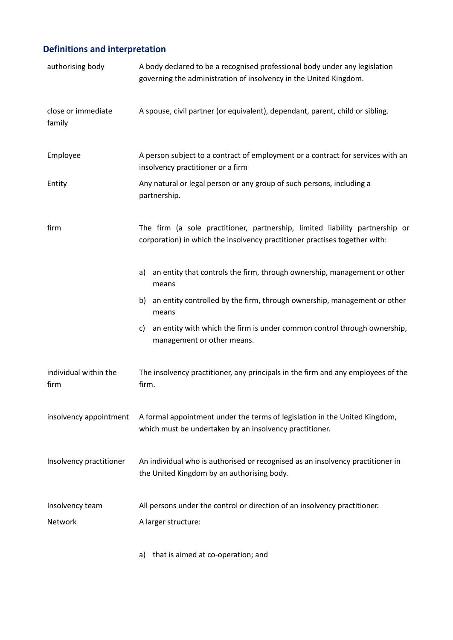# **Definitions and interpretation**

<span id="page-69-9"></span><span id="page-69-7"></span><span id="page-69-5"></span><span id="page-69-3"></span><span id="page-69-2"></span>

| authorising body              | A body declared to be a recognised professional body under any legislation<br>governing the administration of insolvency in the United Kingdom.            |
|-------------------------------|------------------------------------------------------------------------------------------------------------------------------------------------------------|
| close or immediate<br>family  | A spouse, civil partner (or equivalent), dependant, parent, child or sibling.                                                                              |
| Employee                      | A person subject to a contract of employment or a contract for services with an<br>insolvency practitioner or a firm                                       |
| Entity                        | Any natural or legal person or any group of such persons, including a<br>partnership.                                                                      |
| firm                          | The firm (a sole practitioner, partnership, limited liability partnership or<br>corporation) in which the insolvency practitioner practises together with: |
|                               | an entity that controls the firm, through ownership, management or other<br>a)<br>means                                                                    |
|                               | an entity controlled by the firm, through ownership, management or other<br>b)<br>means                                                                    |
|                               | an entity with which the firm is under common control through ownership,<br>C)<br>management or other means.                                               |
| individual within the<br>firm | The insolvency practitioner, any principals in the firm and any employees of the<br>firm.                                                                  |
| insolvency appointment        | A formal appointment under the terms of legislation in the United Kingdom,<br>which must be undertaken by an insolvency practitioner.                      |
| Insolvency practitioner       | An individual who is authorised or recognised as an insolvency practitioner in<br>the United Kingdom by an authorising body.                               |
| Insolvency team<br>Network    | All persons under the control or direction of an insolvency practitioner.<br>A larger structure:                                                           |

<span id="page-69-8"></span><span id="page-69-6"></span><span id="page-69-4"></span><span id="page-69-1"></span><span id="page-69-0"></span>a) that is aimed at co-operation; and